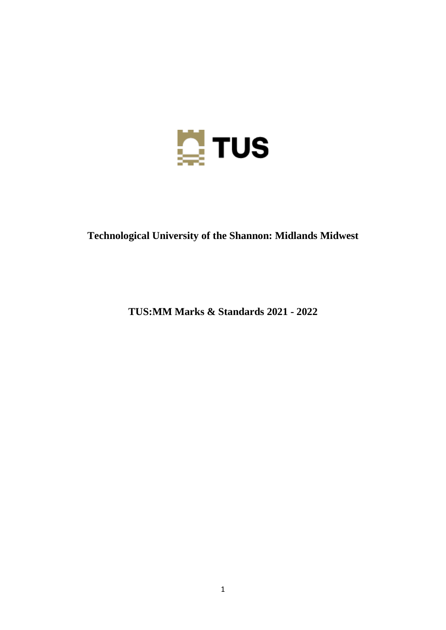

# **Technological University of the Shannon: Midlands Midwest**

**TUS:MM Marks & Standards 2021 - 2022**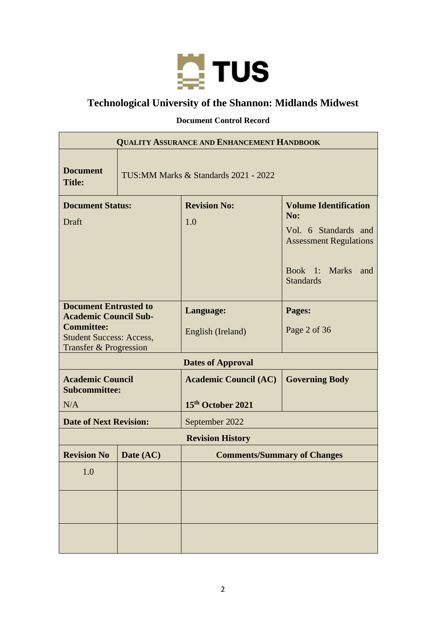

# **Technological University of the Shannon: Midlands Midwest**

# **Document Control Record**

| <b>QUALITY ASSURANCE AND ENHANCEMENT HANDBOOK</b>                                                                                                         |                                       |                                                   |                                                                                                                                                 |  |  |
|-----------------------------------------------------------------------------------------------------------------------------------------------------------|---------------------------------------|---------------------------------------------------|-------------------------------------------------------------------------------------------------------------------------------------------------|--|--|
| <b>Document</b><br><b>Title:</b>                                                                                                                          | TUS: MM Marks & Standards 2021 - 2022 |                                                   |                                                                                                                                                 |  |  |
| <b>Document Status:</b><br>Draft                                                                                                                          |                                       | <b>Revision No:</b><br>1.0                        | <b>Volume Identification</b><br><b>No:</b><br>Vol. 6 Standards and<br><b>Assessment Regulations</b><br>Book 1: Marks<br>and<br><b>Standards</b> |  |  |
| <b>Document Entrusted to</b><br><b>Academic Council Sub-</b><br><b>Committee:</b><br><b>Student Success: Access,</b><br><b>Transfer &amp; Progression</b> |                                       | Language:<br>English (Ireland)                    | Pages:<br>Page 2 of 36                                                                                                                          |  |  |
|                                                                                                                                                           |                                       | <b>Dates of Approval</b>                          |                                                                                                                                                 |  |  |
| <b>Academic Council</b><br><b>Subcommittee:</b><br>N/A                                                                                                    |                                       | <b>Academic Council (AC)</b><br>15th October 2021 | <b>Governing Body</b>                                                                                                                           |  |  |
| <b>Date of Next Revision:</b>                                                                                                                             |                                       | September 2022                                    |                                                                                                                                                 |  |  |
|                                                                                                                                                           |                                       | <b>Revision History</b>                           |                                                                                                                                                 |  |  |
| <b>Revision No</b>                                                                                                                                        | Date (AC)                             | <b>Comments/Summary of Changes</b>                |                                                                                                                                                 |  |  |
| 1.0                                                                                                                                                       |                                       |                                                   |                                                                                                                                                 |  |  |
|                                                                                                                                                           |                                       |                                                   |                                                                                                                                                 |  |  |
|                                                                                                                                                           |                                       |                                                   |                                                                                                                                                 |  |  |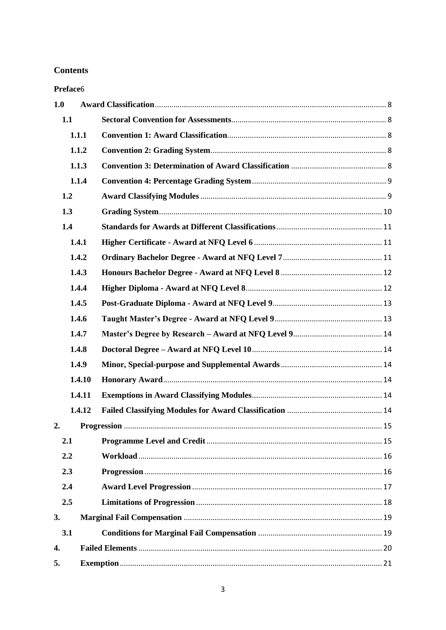# **Contents**

Preface<sub>6</sub>

| 1.0 |        |  |
|-----|--------|--|
|     | 1.1    |  |
|     | 1.1.1  |  |
|     | 1.1.2  |  |
|     | 1.1.3  |  |
|     | 1.1.4  |  |
|     | 1.2    |  |
|     | 1.3    |  |
|     | 1.4    |  |
|     | 1.4.1  |  |
|     | 1.4.2  |  |
|     | 1.4.3  |  |
|     | 1.4.4  |  |
|     | 1.4.5  |  |
|     | 1.4.6  |  |
|     | 1.4.7  |  |
|     | 1.4.8  |  |
|     | 1.4.9  |  |
|     | 1.4.10 |  |
|     | 1.4.11 |  |
|     | 1.4.12 |  |
| 2.  |        |  |
|     | 2.1    |  |
|     | 2.2    |  |
|     | 2.3    |  |
|     | 2.4    |  |
|     | 2.5    |  |
| 3.  |        |  |
|     | 3.1    |  |
| 4.  |        |  |
| 5.  |        |  |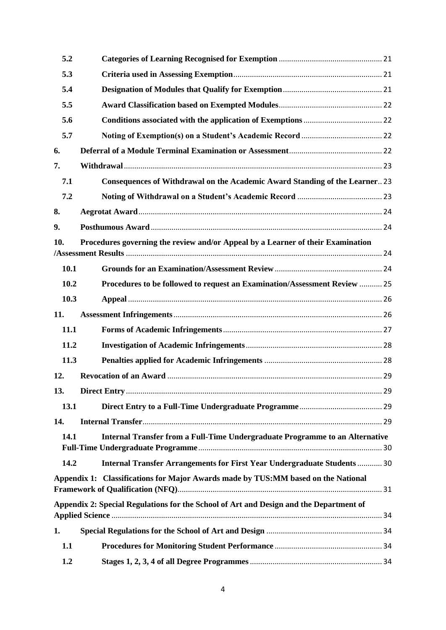| 5.2  |                                                                                        |  |
|------|----------------------------------------------------------------------------------------|--|
| 5.3  |                                                                                        |  |
| 5.4  |                                                                                        |  |
| 5.5  |                                                                                        |  |
| 5.6  |                                                                                        |  |
| 5.7  |                                                                                        |  |
| 6.   |                                                                                        |  |
| 7.   |                                                                                        |  |
| 7.1  | Consequences of Withdrawal on the Academic Award Standing of the Learner 23            |  |
| 7.2  |                                                                                        |  |
| 8.   |                                                                                        |  |
| 9.   |                                                                                        |  |
| 10.  | Procedures governing the review and/or Appeal by a Learner of their Examination        |  |
|      |                                                                                        |  |
| 10.1 |                                                                                        |  |
| 10.2 | Procedures to be followed to request an Examination/Assessment Review  25              |  |
| 10.3 |                                                                                        |  |
| 11.  |                                                                                        |  |
| 11.1 |                                                                                        |  |
| 11.2 |                                                                                        |  |
| 11.3 |                                                                                        |  |
| 12.  |                                                                                        |  |
| 13.  |                                                                                        |  |
| 13.1 |                                                                                        |  |
| 14.  |                                                                                        |  |
| 14.1 | Internal Transfer from a Full-Time Undergraduate Programme to an Alternative           |  |
| 14.2 | Internal Transfer Arrangements for First Year Undergraduate Students  30               |  |
|      | Appendix 1: Classifications for Major Awards made by TUS:MM based on the National      |  |
|      | Appendix 2: Special Regulations for the School of Art and Design and the Department of |  |
| 1.   |                                                                                        |  |
| 1.1  |                                                                                        |  |
| 1.2  |                                                                                        |  |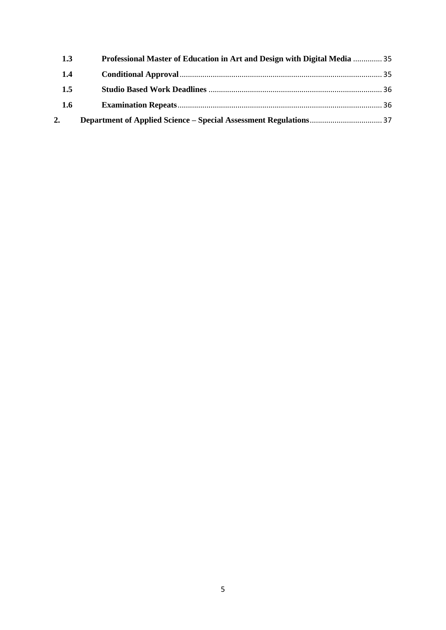| 1.3 | Professional Master of Education in Art and Design with Digital Media  35 |  |
|-----|---------------------------------------------------------------------------|--|
| 1.4 |                                                                           |  |
| 1.5 |                                                                           |  |
| 1.6 |                                                                           |  |
| 2.  |                                                                           |  |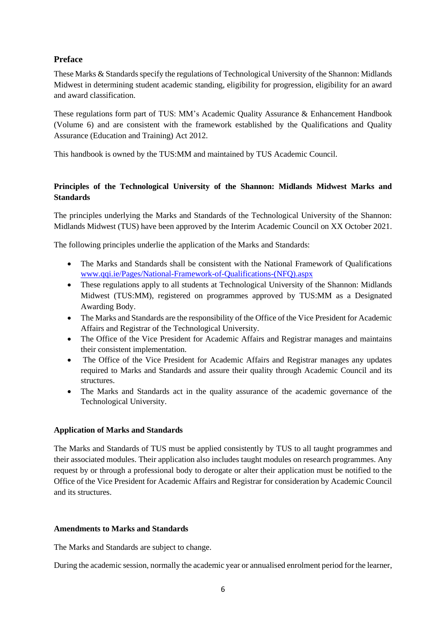# <span id="page-5-0"></span>**Preface**

These Marks & Standards specify the regulations of Technological University of the Shannon: Midlands Midwest in determining student academic standing, eligibility for progression, eligibility for an award and award classification.

These regulations form part of TUS: MM's Academic Quality Assurance & Enhancement Handbook (Volume 6) and are consistent with the framework established by the Qualifications and Quality Assurance (Education and Training) Act 2012.

This handbook is owned by the TUS:MM and maintained by TUS Academic Council.

# **Principles of the Technological University of the Shannon: Midlands Midwest Marks and Standards**

The principles underlying the Marks and Standards of the Technological University of the Shannon: Midlands Midwest (TUS) have been approved by the Interim Academic Council on XX October 2021.

The following principles underlie the application of the Marks and Standards:

- The Marks and Standards shall be consistent with the National Framework of Qualifications [www.qqi.ie/Pages/National-Framework-of-Qualifications-\(NFQ\).aspx](http://www.qqi.ie/Pages/National-Framework-of-Qualifications-(NFQ).aspx)
- These regulations apply to all students at Technological University of the Shannon: Midlands Midwest (TUS:MM), registered on programmes approved by TUS:MM as a Designated Awarding Body.
- The Marks and Standards are the responsibility of the Office of the Vice President for Academic Affairs and Registrar of the Technological University.
- The Office of the Vice President for Academic Affairs and Registrar manages and maintains their consistent implementation.
- The Office of the Vice President for Academic Affairs and Registrar manages any updates required to Marks and Standards and assure their quality through Academic Council and its structures.
- The Marks and Standards act in the quality assurance of the academic governance of the Technological University.

## **Application of Marks and Standards**

The Marks and Standards of TUS must be applied consistently by TUS to all taught programmes and their associated modules. Their application also includes taught modules on research programmes. Any request by or through a professional body to derogate or alter their application must be notified to the Office of the Vice President for Academic Affairs and Registrar for consideration by Academic Council and its structures.

## **Amendments to Marks and Standards**

The Marks and Standards are subject to change.

During the academic session, normally the academic year or annualised enrolment period for the learner,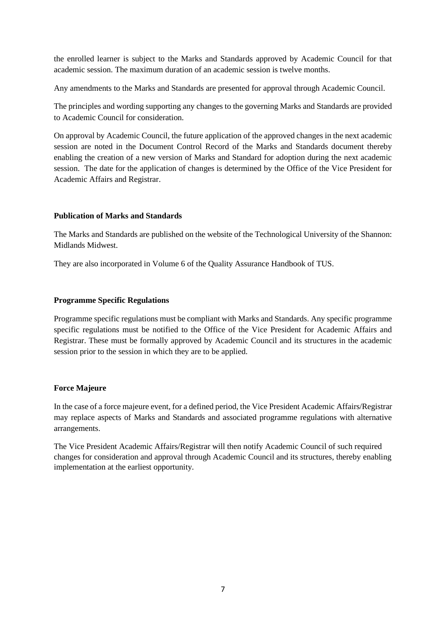the enrolled learner is subject to the Marks and Standards approved by Academic Council for that academic session. The maximum duration of an academic session is twelve months.

Any amendments to the Marks and Standards are presented for approval through Academic Council.

The principles and wording supporting any changes to the governing Marks and Standards are provided to Academic Council for consideration.

On approval by Academic Council, the future application of the approved changes in the next academic session are noted in the Document Control Record of the Marks and Standards document thereby enabling the creation of a new version of Marks and Standard for adoption during the next academic session. The date for the application of changes is determined by the Office of the Vice President for Academic Affairs and Registrar.

#### **Publication of Marks and Standards**

The Marks and Standards are published on the website of the Technological University of the Shannon: Midlands Midwest.

They are also incorporated in Volume 6 of the Quality Assurance Handbook of TUS.

#### **Programme Specific Regulations**

Programme specific regulations must be compliant with Marks and Standards. Any specific programme specific regulations must be notified to the Office of the Vice President for Academic Affairs and Registrar. These must be formally approved by Academic Council and its structures in the academic session prior to the session in which they are to be applied.

#### **Force Majeure**

In the case of a force majeure event, for a defined period, the Vice President Academic Affairs/Registrar may replace aspects of Marks and Standards and associated programme regulations with alternative arrangements.

The Vice President Academic Affairs/Registrar will then notify Academic Council of such required changes for consideration and approval through Academic Council and its structures, thereby enabling implementation at the earliest opportunity.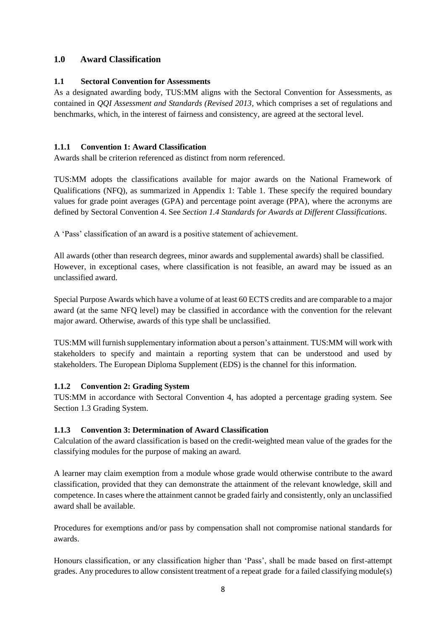# <span id="page-7-0"></span>**1.0 Award Classification**

## <span id="page-7-1"></span>**1.1 Sectoral Convention for Assessments**

As a designated awarding body, TUS:MM aligns with the Sectoral Convention for Assessments, as contained in *QQI Assessment and Standards (Revised 2013,* which comprises a set of regulations and benchmarks, which, in the interest of fairness and consistency, are agreed at the sectoral level.

## <span id="page-7-2"></span>**1.1.1 Convention 1: Award Classification**

Awards shall be criterion referenced as distinct from norm referenced.

TUS:MM adopts the classifications available for major awards on the National Framework of Qualifications (NFQ), as summarized in Appendix 1: Table 1. These specify the required boundary values for grade point averages (GPA) and percentage point average (PPA), where the acronyms are defined by Sectoral Convention 4. See *Section 1.4 Standards for Awards at Different Classifications*.

A 'Pass' classification of an award is a positive statement of achievement.

All awards (other than research degrees, minor awards and supplemental awards) shall be classified. However, in exceptional cases, where classification is not feasible, an award may be issued as an unclassified award.

Special Purpose Awards which have a volume of at least 60 ECTS credits and are comparable to a major award (at the same NFQ level) may be classified in accordance with the convention for the relevant major award. Otherwise, awards of this type shall be unclassified.

TUS:MM will furnish supplementary information about a person's attainment. TUS:MM will work with stakeholders to specify and maintain a reporting system that can be understood and used by stakeholders. The European Diploma Supplement (EDS) is the channel for this information.

# <span id="page-7-3"></span>**1.1.2 Convention 2: Grading System**

TUS:MM in accordance with Sectoral Convention 4, has adopted a percentage grading system. See Section 1.3 Grading System.

# <span id="page-7-4"></span>**1.1.3 Convention 3: Determination of Award Classification**

Calculation of the award classification is based on the credit-weighted mean value of the grades for the classifying modules for the purpose of making an award.

A learner may claim exemption from a module whose grade would otherwise contribute to the award classification, provided that they can demonstrate the attainment of the relevant knowledge, skill and competence. In cases where the attainment cannot be graded fairly and consistently, only an unclassified award shall be available.

Procedures for exemptions and/or pass by compensation shall not compromise national standards for awards.

Honours classification, or any classification higher than 'Pass', shall be made based on first-attempt grades. Any procedures to allow consistent treatment of a repeat grade for a failed classifying module(s)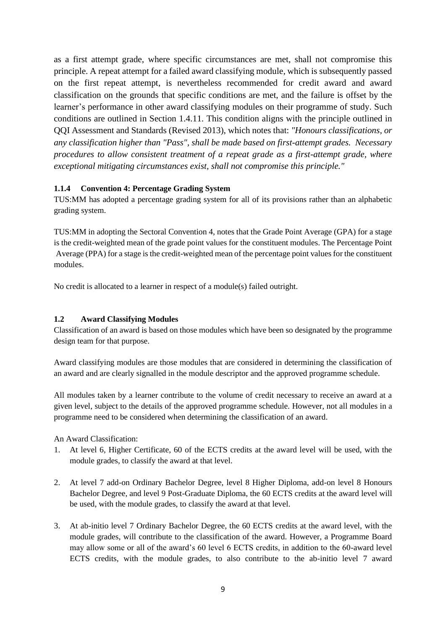as a first attempt grade, where specific circumstances are met, shall not compromise this principle. A repeat attempt for a failed award classifying module, which is subsequently passed on the first repeat attempt, is nevertheless recommended for credit award and award classification on the grounds that specific conditions are met, and the failure is offset by the learner's performance in other award classifying modules on their programme of study. Such conditions are outlined in Section 1.4.11. This condition aligns with the principle outlined in QQI Assessment and Standards (Revised 2013), which notes that: *"Honours classifications, or any classification higher than "Pass", shall be made based on first-attempt grades. Necessary procedures to allow consistent treatment of a repeat grade as a first-attempt grade, where exceptional mitigating circumstances exist, shall not compromise this principle."*

## <span id="page-8-0"></span>**1.1.4 Convention 4: Percentage Grading System**

TUS:MM has adopted a percentage grading system for all of its provisions rather than an alphabetic grading system.

TUS:MM in adopting the Sectoral Convention 4, notes that the Grade Point Average (GPA) for a stage is the credit-weighted mean of the grade point values for the constituent modules. The Percentage Point Average (PPA) for a stage is the credit-weighted mean of the percentage point values for the constituent modules.

No credit is allocated to a learner in respect of a module(s) failed outright.

# <span id="page-8-1"></span>**1.2 Award Classifying Modules**

Classification of an award is based on those modules which have been so designated by the programme design team for that purpose.

Award classifying modules are those modules that are considered in determining the classification of an award and are clearly signalled in the module descriptor and the approved programme schedule.

All modules taken by a learner contribute to the volume of credit necessary to receive an award at a given level, subject to the details of the approved programme schedule. However, not all modules in a programme need to be considered when determining the classification of an award.

An Award Classification:

- 1. At level 6, Higher Certificate, 60 of the ECTS credits at the award level will be used, with the module grades, to classify the award at that level.
- 2. At level 7 add-on Ordinary Bachelor Degree, level 8 Higher Diploma, add-on level 8 Honours Bachelor Degree, and level 9 Post-Graduate Diploma, the 60 ECTS credits at the award level will be used, with the module grades, to classify the award at that level.
- 3. At ab-initio level 7 Ordinary Bachelor Degree, the 60 ECTS credits at the award level, with the module grades, will contribute to the classification of the award. However, a Programme Board may allow some or all of the award's 60 level 6 ECTS credits, in addition to the 60-award level ECTS credits, with the module grades, to also contribute to the ab-initio level 7 award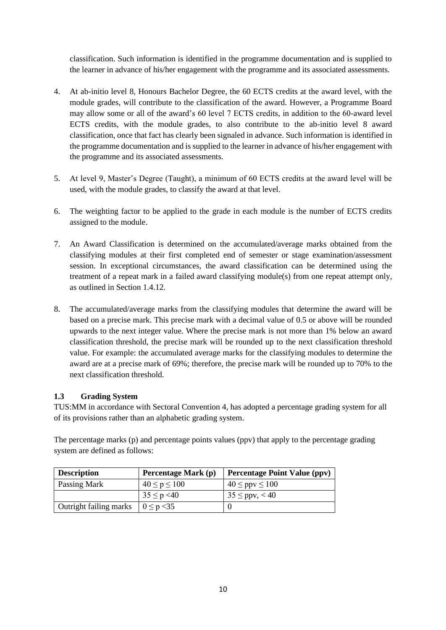classification. Such information is identified in the programme documentation and is supplied to the learner in advance of his/her engagement with the programme and its associated assessments.

- 4. At ab-initio level 8, Honours Bachelor Degree, the 60 ECTS credits at the award level, with the module grades, will contribute to the classification of the award. However, a Programme Board may allow some or all of the award's 60 level 7 ECTS credits, in addition to the 60-award level ECTS credits, with the module grades, to also contribute to the ab-initio level 8 award classification, once that fact has clearly been signaled in advance. Such information is identified in the programme documentation and is supplied to the learner in advance of his/her engagement with the programme and its associated assessments.
- 5. At level 9, Master's Degree (Taught), a minimum of 60 ECTS credits at the award level will be used, with the module grades, to classify the award at that level.
- 6. The weighting factor to be applied to the grade in each module is the number of ECTS credits assigned to the module.
- 7. An Award Classification is determined on the accumulated/average marks obtained from the classifying modules at their first completed end of semester or stage examination/assessment session. In exceptional circumstances, the award classification can be determined using the treatment of a repeat mark in a failed award classifying module(s) from one repeat attempt only, as outlined in Section 1.4.12.
- 8. The accumulated/average marks from the classifying modules that determine the award will be based on a precise mark. This precise mark with a decimal value of 0.5 or above will be rounded upwards to the next integer value. Where the precise mark is not more than 1% below an award classification threshold, the precise mark will be rounded up to the next classification threshold value. For example: the accumulated average marks for the classifying modules to determine the award are at a precise mark of 69%; therefore, the precise mark will be rounded up to 70% to the next classification threshold.

# <span id="page-9-0"></span>**1.3 Grading System**

TUS:MM in accordance with Sectoral Convention 4, has adopted a percentage grading system for all of its provisions rather than an alphabetic grading system.

The percentage marks (p) and percentage points values (ppv) that apply to the percentage grading system are defined as follows:

| <b>Description</b>            | Percentage Mark (p) | <b>Percentage Point Value (ppv)</b> |
|-------------------------------|---------------------|-------------------------------------|
| Passing Mark                  | $40 \le p \le 100$  | $40 \leq ppv \leq 100$              |
|                               | $35 \le p \le 40$   | $35 \leq ppv, < 40$                 |
| <b>Outright failing marks</b> | $0 \le p < 35$      |                                     |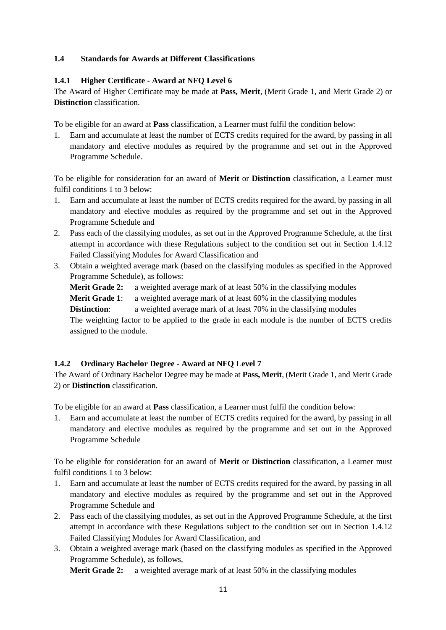## <span id="page-10-0"></span>**1.4 Standards for Awards at Different Classifications**

## <span id="page-10-1"></span>**1.4.1 Higher Certificate - Award at NFQ Level 6**

The Award of Higher Certificate may be made at **Pass, Merit**, (Merit Grade 1, and Merit Grade 2) or **Distinction** classification.

To be eligible for an award at **Pass** classification, a Learner must fulfil the condition below:

1. Earn and accumulate at least the number of ECTS credits required for the award, by passing in all mandatory and elective modules as required by the programme and set out in the Approved Programme Schedule.

To be eligible for consideration for an award of **Merit** or **Distinction** classification, a Learner must fulfil conditions 1 to 3 below:

- 1. Earn and accumulate at least the number of ECTS credits required for the award, by passing in all mandatory and elective modules as required by the programme and set out in the Approved Programme Schedule and
- 2. Pass each of the classifying modules, as set out in the Approved Programme Schedule, at the first attempt in accordance with these Regulations subject to the condition set out in Section 1.4.12 Failed Classifying Modules for Award Classification and
- 3. Obtain a weighted average mark (based on the classifying modules as specified in the Approved Programme Schedule), as follows:

**Merit Grade 2:** a weighted average mark of at least 50% in the classifying modules

**Merit Grade 1:** a weighted average mark of at least 60% in the classifying modules

**Distinction:** a weighted average mark of at least 70% in the classifying modules

The weighting factor to be applied to the grade in each module is the number of ECTS credits assigned to the module.

## <span id="page-10-2"></span>**1.4.2 Ordinary Bachelor Degree - Award at NFQ Level 7**

The Award of Ordinary Bachelor Degree may be made at **Pass, Merit**, (Merit Grade 1, and Merit Grade 2) or **Distinction** classification.

To be eligible for an award at **Pass** classification, a Learner must fulfil the condition below:

1. Earn and accumulate at least the number of ECTS credits required for the award, by passing in all mandatory and elective modules as required by the programme and set out in the Approved Programme Schedule

To be eligible for consideration for an award of **Merit** or **Distinction** classification, a Learner must fulfil conditions 1 to 3 below:

- 1. Earn and accumulate at least the number of ECTS credits required for the award, by passing in all mandatory and elective modules as required by the programme and set out in the Approved Programme Schedule and
- 2. Pass each of the classifying modules, as set out in the Approved Programme Schedule, at the first attempt in accordance with these Regulations subject to the condition set out in Section 1.4.12 Failed Classifying Modules for Award Classification, and
- 3. Obtain a weighted average mark (based on the classifying modules as specified in the Approved Programme Schedule), as follows,

**Merit Grade 2:** a weighted average mark of at least 50% in the classifying modules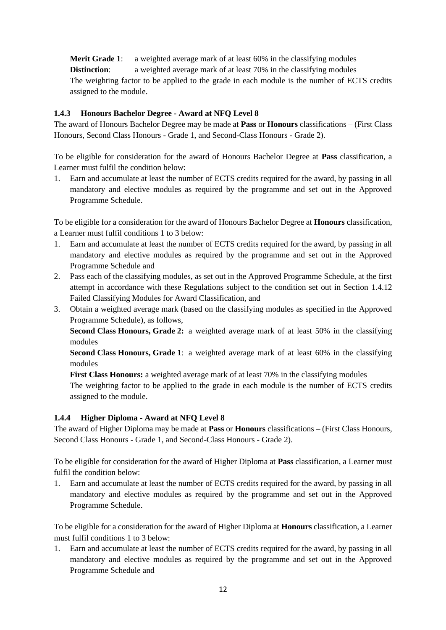**Merit Grade 1:** a weighted average mark of at least 60% in the classifying modules **Distinction**: a weighted average mark of at least 70% in the classifying modules The weighting factor to be applied to the grade in each module is the number of ECTS credits assigned to the module.

## <span id="page-11-0"></span>**1.4.3 Honours Bachelor Degree - Award at NFQ Level 8**

The award of Honours Bachelor Degree may be made at **Pass** or **Honours** classifications – (First Class Honours, Second Class Honours - Grade 1, and Second-Class Honours - Grade 2).

To be eligible for consideration for the award of Honours Bachelor Degree at **Pass** classification, a Learner must fulfil the condition below:

1. Earn and accumulate at least the number of ECTS credits required for the award, by passing in all mandatory and elective modules as required by the programme and set out in the Approved Programme Schedule.

To be eligible for a consideration for the award of Honours Bachelor Degree at **Honours** classification, a Learner must fulfil conditions 1 to 3 below:

- 1. Earn and accumulate at least the number of ECTS credits required for the award, by passing in all mandatory and elective modules as required by the programme and set out in the Approved Programme Schedule and
- 2. Pass each of the classifying modules, as set out in the Approved Programme Schedule, at the first attempt in accordance with these Regulations subject to the condition set out in Section 1.4.12 Failed Classifying Modules for Award Classification, and
- 3. Obtain a weighted average mark (based on the classifying modules as specified in the Approved Programme Schedule), as follows,

**Second Class Honours, Grade 2:** a weighted average mark of at least 50% in the classifying modules

**Second Class Honours, Grade 1**: a weighted average mark of at least 60% in the classifying modules

**First Class Honours:** a weighted average mark of at least 70% in the classifying modules

The weighting factor to be applied to the grade in each module is the number of ECTS credits assigned to the module.

## <span id="page-11-1"></span>**1.4.4 Higher Diploma - Award at NFQ Level 8**

The award of Higher Diploma may be made at **Pass** or **Honours** classifications – (First Class Honours, Second Class Honours - Grade 1, and Second-Class Honours - Grade 2).

To be eligible for consideration for the award of Higher Diploma at **Pass** classification, a Learner must fulfil the condition below:

1. Earn and accumulate at least the number of ECTS credits required for the award, by passing in all mandatory and elective modules as required by the programme and set out in the Approved Programme Schedule.

To be eligible for a consideration for the award of Higher Diploma at **Honours** classification, a Learner must fulfil conditions 1 to 3 below:

1. Earn and accumulate at least the number of ECTS credits required for the award, by passing in all mandatory and elective modules as required by the programme and set out in the Approved Programme Schedule and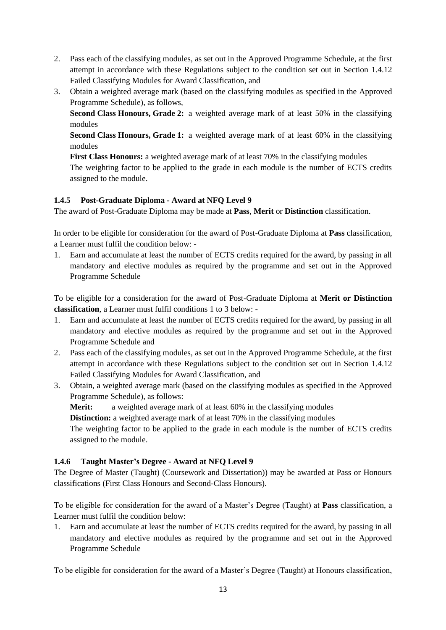- 2. Pass each of the classifying modules, as set out in the Approved Programme Schedule, at the first attempt in accordance with these Regulations subject to the condition set out in Section 1.4.12 Failed Classifying Modules for Award Classification, and
- 3. Obtain a weighted average mark (based on the classifying modules as specified in the Approved Programme Schedule), as follows,

**Second Class Honours, Grade 2:** a weighted average mark of at least 50% in the classifying modules

**Second Class Honours, Grade 1:** a weighted average mark of at least 60% in the classifying modules

**First Class Honours:** a weighted average mark of at least 70% in the classifying modules

The weighting factor to be applied to the grade in each module is the number of ECTS credits assigned to the module.

## <span id="page-12-0"></span>**1.4.5 Post-Graduate Diploma - Award at NFQ Level 9**

The award of Post-Graduate Diploma may be made at **Pass**, **Merit** or **Distinction** classification.

In order to be eligible for consideration for the award of Post-Graduate Diploma at **Pass** classification, a Learner must fulfil the condition below: -

1. Earn and accumulate at least the number of ECTS credits required for the award, by passing in all mandatory and elective modules as required by the programme and set out in the Approved Programme Schedule

To be eligible for a consideration for the award of Post-Graduate Diploma at **Merit or Distinction classification**, a Learner must fulfil conditions 1 to 3 below: -

- 1. Earn and accumulate at least the number of ECTS credits required for the award, by passing in all mandatory and elective modules as required by the programme and set out in the Approved Programme Schedule and
- 2. Pass each of the classifying modules, as set out in the Approved Programme Schedule, at the first attempt in accordance with these Regulations subject to the condition set out in Section 1.4.12 Failed Classifying Modules for Award Classification, and
- 3. Obtain, a weighted average mark (based on the classifying modules as specified in the Approved Programme Schedule), as follows:

**Merit:** a weighted average mark of at least 60% in the classifying modules

**Distinction:** a weighted average mark of at least 70% in the classifying modules

The weighting factor to be applied to the grade in each module is the number of ECTS credits assigned to the module.

## <span id="page-12-1"></span>**1.4.6 Taught Master's Degree - Award at NFQ Level 9**

The Degree of Master (Taught) (Coursework and Dissertation)) may be awarded at Pass or Honours classifications (First Class Honours and Second-Class Honours).

To be eligible for consideration for the award of a Master's Degree (Taught) at **Pass** classification, a Learner must fulfil the condition below:

1. Earn and accumulate at least the number of ECTS credits required for the award, by passing in all mandatory and elective modules as required by the programme and set out in the Approved Programme Schedule

To be eligible for consideration for the award of a Master's Degree (Taught) at Honours classification,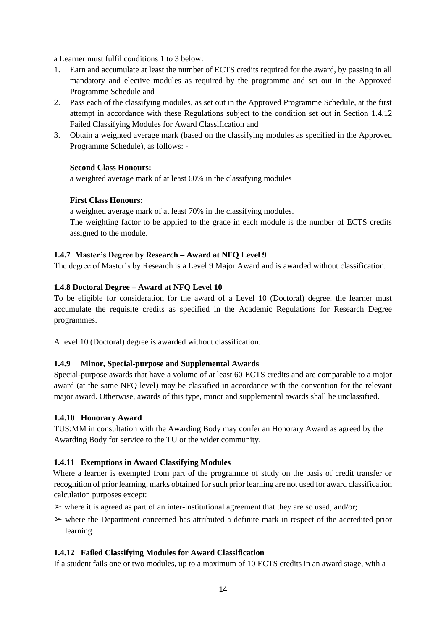a Learner must fulfil conditions 1 to 3 below:

- 1. Earn and accumulate at least the number of ECTS credits required for the award, by passing in all mandatory and elective modules as required by the programme and set out in the Approved Programme Schedule and
- 2. Pass each of the classifying modules, as set out in the Approved Programme Schedule, at the first attempt in accordance with these Regulations subject to the condition set out in Section 1.4.12 Failed Classifying Modules for Award Classification and
- 3. Obtain a weighted average mark (based on the classifying modules as specified in the Approved Programme Schedule), as follows: -

## **Second Class Honours:**

a weighted average mark of at least 60% in the classifying modules

#### **First Class Honours:**

a weighted average mark of at least 70% in the classifying modules. The weighting factor to be applied to the grade in each module is the number of ECTS credits assigned to the module.

#### <span id="page-13-0"></span>**1.4.7 Master's Degree by Research – Award at NFQ Level 9**

The degree of Master's by Research is a Level 9 Major Award and is awarded without classification.

#### <span id="page-13-1"></span>**1.4.8 Doctoral Degree – Award at NFQ Level 10**

To be eligible for consideration for the award of a Level 10 (Doctoral) degree, the learner must accumulate the requisite credits as specified in the Academic Regulations for Research Degree programmes.

A level 10 (Doctoral) degree is awarded without classification.

#### <span id="page-13-2"></span>**1.4.9 Minor, Special-purpose and Supplemental Awards**

Special-purpose awards that have a volume of at least 60 ECTS credits and are comparable to a major award (at the same NFQ level) may be classified in accordance with the convention for the relevant major award. Otherwise, awards of this type, minor and supplemental awards shall be unclassified.

#### <span id="page-13-3"></span>**1.4.10 Honorary Award**

TUS:MM in consultation with the Awarding Body may confer an Honorary Award as agreed by the Awarding Body for service to the TU or the wider community.

## <span id="page-13-4"></span>**1.4.11 Exemptions in Award Classifying Modules**

Where a learner is exempted from part of the programme of study on the basis of credit transfer or recognition of prior learning, marks obtained for such prior learning are not used for award classification calculation purposes except:

- $\triangleright$  where it is agreed as part of an inter-institutional agreement that they are so used, and/or;
- $\triangleright$  where the Department concerned has attributed a definite mark in respect of the accredited prior learning.

#### <span id="page-13-5"></span>**1.4.12 Failed Classifying Modules for Award Classification**

If a student fails one or two modules, up to a maximum of 10 ECTS credits in an award stage, with a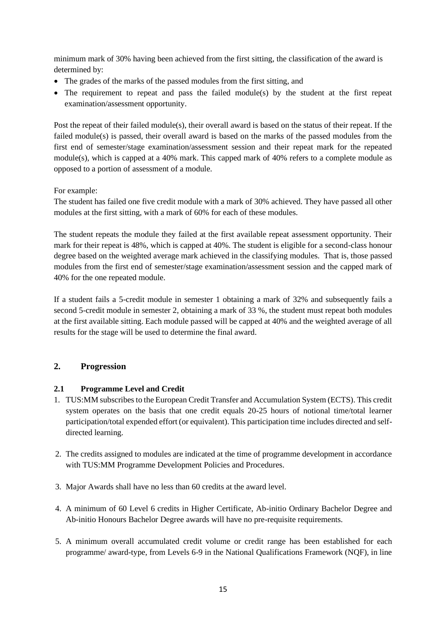minimum mark of 30% having been achieved from the first sitting, the classification of the award is determined by:

- The grades of the marks of the passed modules from the first sitting, and
- The requirement to repeat and pass the failed module(s) by the student at the first repeat examination/assessment opportunity.

Post the repeat of their failed module(s), their overall award is based on the status of their repeat. If the failed module(s) is passed, their overall award is based on the marks of the passed modules from the first end of semester/stage examination/assessment session and their repeat mark for the repeated  $module(s)$ , which is capped at a 40% mark. This capped mark of 40% refers to a complete module as opposed to a portion of assessment of a module.

For example:

The student has failed one five credit module with a mark of 30% achieved. They have passed all other modules at the first sitting, with a mark of 60% for each of these modules.

The student repeats the module they failed at the first available repeat assessment opportunity. Their mark for their repeat is 48%, which is capped at 40%. The student is eligible for a second-class honour degree based on the weighted average mark achieved in the classifying modules. That is, those passed modules from the first end of semester/stage examination/assessment session and the capped mark of 40% for the one repeated module.

If a student fails a 5-credit module in semester 1 obtaining a mark of 32% and subsequently fails a second 5-credit module in semester 2, obtaining a mark of 33 %, the student must repeat both modules at the first available sitting. Each module passed will be capped at 40% and the weighted average of all results for the stage will be used to determine the final award.

# <span id="page-14-0"></span>**2. Progression**

# <span id="page-14-1"></span>**2.1 Programme Level and Credit**

- 1. TUS:MM subscribes to the European Credit Transfer and Accumulation System (ECTS). This credit system operates on the basis that one credit equals 20-25 hours of notional time/total learner participation/total expended effort (or equivalent). This participation time includes directed and selfdirected learning.
- 2. The credits assigned to modules are indicated at the time of programme development in accordance with TUS:MM Programme Development Policies and Procedures.
- 3. Major Awards shall have no less than 60 credits at the award level.
- 4. A minimum of 60 Level 6 credits in Higher Certificate, Ab-initio Ordinary Bachelor Degree and Ab-initio Honours Bachelor Degree awards will have no pre-requisite requirements.
- 5. A minimum overall accumulated credit volume or credit range has been established for each programme/ award-type, from Levels 6-9 in the National Qualifications Framework (NQF), in line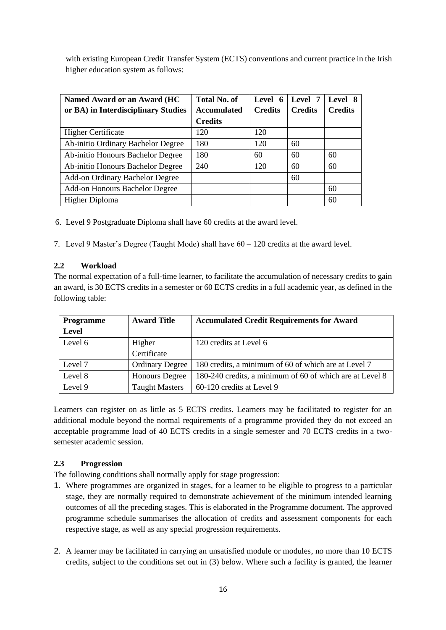with existing European Credit Transfer System (ECTS) conventions and current practice in the Irish higher education system as follows:

| Named Award or an Award (HC         | <b>Total No. of</b> | Level 6        | Level 7        | Level 8        |
|-------------------------------------|---------------------|----------------|----------------|----------------|
| or BA) in Interdisciplinary Studies | <b>Accumulated</b>  | <b>Credits</b> | <b>Credits</b> | <b>Credits</b> |
|                                     | <b>Credits</b>      |                |                |                |
| <b>Higher Certificate</b>           | 120                 | 120            |                |                |
| Ab-initio Ordinary Bachelor Degree  | 180                 | 120            | 60             |                |
| Ab-initio Honours Bachelor Degree   | 180                 | 60             | 60             | 60             |
| Ab-initio Honours Bachelor Degree   | 240                 | 120            | 60             | 60             |
| Add-on Ordinary Bachelor Degree     |                     |                | 60             |                |
| Add-on Honours Bachelor Degree      |                     |                |                | 60             |
| Higher Diploma                      |                     |                |                | 60             |

6. Level 9 Postgraduate Diploma shall have 60 credits at the award level.

7. Level 9 Master's Degree (Taught Mode) shall have 60 – 120 credits at the award level.

#### <span id="page-15-0"></span>**2.2 Workload**

The normal expectation of a full-time learner, to facilitate the accumulation of necessary credits to gain an award, is 30 ECTS credits in a semester or 60 ECTS credits in a full academic year, as defined in the following table:

| <b>Programme</b> | <b>Award Title</b>     | <b>Accumulated Credit Requirements for Award</b>         |
|------------------|------------------------|----------------------------------------------------------|
| Level            |                        |                                                          |
| Level 6          | Higher                 | 120 credits at Level 6                                   |
|                  | Certificate            |                                                          |
| Level 7          | <b>Ordinary Degree</b> | 180 credits, a minimum of 60 of which are at Level 7     |
| Level 8          | <b>Honours Degree</b>  | 180-240 credits, a minimum of 60 of which are at Level 8 |
| Level 9          | <b>Taught Masters</b>  | 60-120 credits at Level 9                                |

Learners can register on as little as 5 ECTS credits. Learners may be facilitated to register for an additional module beyond the normal requirements of a programme provided they do not exceed an acceptable programme load of 40 ECTS credits in a single semester and 70 ECTS credits in a twosemester academic session.

## <span id="page-15-1"></span>**2.3 Progression**

The following conditions shall normally apply for stage progression:

- 1. Where programmes are organized in stages, for a learner to be eligible to progress to a particular stage, they are normally required to demonstrate achievement of the minimum intended learning outcomes of all the preceding stages. This is elaborated in the Programme document. The approved programme schedule summarises the allocation of credits and assessment components for each respective stage, as well as any special progression requirements.
- 2. A learner may be facilitated in carrying an unsatisfied module or modules, no more than 10 ECTS credits, subject to the conditions set out in (3) below. Where such a facility is granted, the learner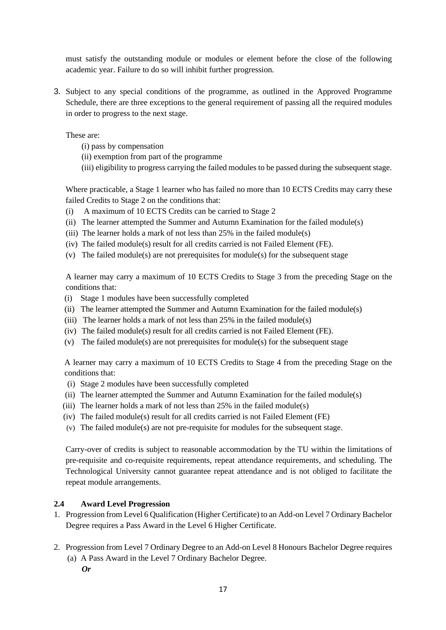must satisfy the outstanding module or modules or element before the close of the following academic year. Failure to do so will inhibit further progression.

3. Subject to any special conditions of the programme, as outlined in the Approved Programme Schedule, there are three exceptions to the general requirement of passing all the required modules in order to progress to the next stage.

These are:

- (i) pass by compensation
- (ii) exemption from part of the programme
- (iii) eligibility to progress carrying the failed modules to be passed during the subsequent stage.

Where practicable, a Stage 1 learner who has failed no more than 10 ECTS Credits may carry these failed Credits to Stage 2 on the conditions that:

- (i) A maximum of 10 ECTS Credits can be carried to Stage 2
- (ii) The learner attempted the Summer and Autumn Examination for the failed module(s)
- (iii) The learner holds a mark of not less than 25% in the failed module(s)
- (iv) The failed module(s) result for all credits carried is not Failed Element (FE).
- (v) The failed module(s) are not prerequisites for module(s) for the subsequent stage

A learner may carry a maximum of 10 ECTS Credits to Stage 3 from the preceding Stage on the conditions that:

- (i) Stage 1 modules have been successfully completed
- (ii) The learner attempted the Summer and Autumn Examination for the failed module(s)
- (iii) The learner holds a mark of not less than 25% in the failed module(s)
- (iv) The failed module(s) result for all credits carried is not Failed Element (FE).
- (v) The failed module(s) are not prerequisites for module(s) for the subsequent stage

A learner may carry a maximum of 10 ECTS Credits to Stage 4 from the preceding Stage on the conditions that:

- (i) Stage 2 modules have been successfully completed
- (ii) The learner attempted the Summer and Autumn Examination for the failed module(s)
- (iii) The learner holds a mark of not less than  $25\%$  in the failed module(s)
- (iv) The failed module(s) result for all credits carried is not Failed Element (FE)
- (v) The failed module(s) are not pre-requisite for modules for the subsequent stage.

Carry-over of credits is subject to reasonable accommodation by the TU within the limitations of pre-requisite and co-requisite requirements, repeat attendance requirements, and scheduling. The Technological University cannot guarantee repeat attendance and is not obliged to facilitate the repeat module arrangements.

## <span id="page-16-0"></span>**2.4 Award Level Progression**

- 1. Progression from Level 6 Qualification (Higher Certificate) to an Add-on Level 7 Ordinary Bachelor Degree requires a Pass Award in the Level 6 Higher Certificate.
- 2. Progression from Level 7 Ordinary Degree to an Add-on Level 8 Honours Bachelor Degree requires (a) A Pass Award in the Level 7 Ordinary Bachelor Degree.
	- *Or*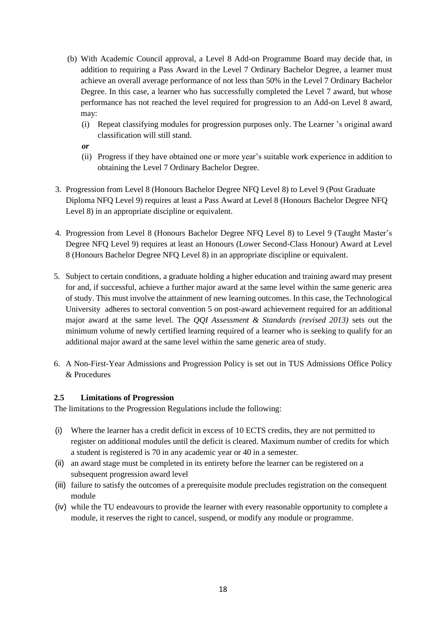- (b) With Academic Council approval, a Level 8 Add-on Programme Board may decide that, in addition to requiring a Pass Award in the Level 7 Ordinary Bachelor Degree, a learner must achieve an overall average performance of not less than 50% in the Level 7 Ordinary Bachelor Degree. In this case, a learner who has successfully completed the Level 7 award, but whose performance has not reached the level required for progression to an Add-on Level 8 award, may:
	- (i) Repeat classifying modules for progression purposes only. The Learner 's original award classification will still stand.
	- *or*
	- (ii) Progress if they have obtained one or more year's suitable work experience in addition to obtaining the Level 7 Ordinary Bachelor Degree.
- 3. Progression from Level 8 (Honours Bachelor Degree NFQ Level 8) to Level 9 (Post Graduate Diploma NFQ Level 9) requires at least a Pass Award at Level 8 (Honours Bachelor Degree NFQ Level 8) in an appropriate discipline or equivalent.
- 4. Progression from Level 8 (Honours Bachelor Degree NFQ Level 8) to Level 9 (Taught Master's Degree NFQ Level 9) requires at least an Honours (Lower Second-Class Honour) Award at Level 8 (Honours Bachelor Degree NFQ Level 8) in an appropriate discipline or equivalent.
- 5. Subject to certain conditions, a graduate holding a higher education and training award may present for and, if successful, achieve a further major award at the same level within the same generic area of study. This must involve the attainment of new learning outcomes. In this case, the Technological University adheres to sectoral convention 5 on post-award achievement required for an additional major award at the same level. The *QQI Assessment & Standards (revised 2013)* sets out the minimum volume of newly certified learning required of a learner who is seeking to qualify for an additional major award at the same level within the same generic area of study.
- 6. A Non-First-Year Admissions and Progression Policy is set out in TUS Admissions Office Policy & Procedures

# <span id="page-17-0"></span>**2.5 Limitations of Progression**

The limitations to the Progression Regulations include the following:

- (i) Where the learner has a credit deficit in excess of 10 ECTS credits, they are not permitted to register on additional modules until the deficit is cleared. Maximum number of credits for which a student is registered is 70 in any academic year or 40 in a semester.
- (ii) an award stage must be completed in its entirety before the learner can be registered on a subsequent progression award level
- (iii) failure to satisfy the outcomes of a prerequisite module precludes registration on the consequent module
- (iv) while the TU endeavours to provide the learner with every reasonable opportunity to complete a module, it reserves the right to cancel, suspend, or modify any module or programme.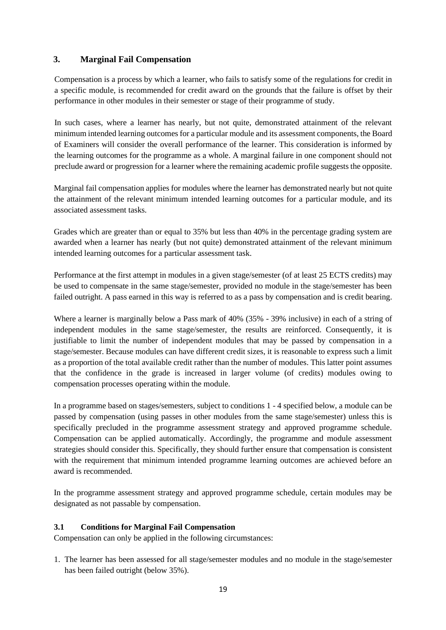## <span id="page-18-0"></span>**3. Marginal Fail Compensation**

Compensation is a process by which a learner, who fails to satisfy some of the regulations for credit in a specific module, is recommended for credit award on the grounds that the failure is offset by their performance in other modules in their semester or stage of their programme of study.

In such cases, where a learner has nearly, but not quite, demonstrated attainment of the relevant minimum intended learning outcomes for a particular module and its assessment components, the Board of Examiners will consider the overall performance of the learner. This consideration is informed by the learning outcomes for the programme as a whole. A marginal failure in one component should not preclude award or progression for a learner where the remaining academic profile suggests the opposite.

Marginal fail compensation applies for modules where the learner has demonstrated nearly but not quite the attainment of the relevant minimum intended learning outcomes for a particular module, and its associated assessment tasks.

Grades which are greater than or equal to 35% but less than 40% in the percentage grading system are awarded when a learner has nearly (but not quite) demonstrated attainment of the relevant minimum intended learning outcomes for a particular assessment task.

Performance at the first attempt in modules in a given stage/semester (of at least 25 ECTS credits) may be used to compensate in the same stage/semester, provided no module in the stage/semester has been failed outright. A pass earned in this way is referred to as a pass by compensation and is credit bearing.

Where a learner is marginally below a Pass mark of 40% (35% - 39% inclusive) in each of a string of independent modules in the same stage/semester, the results are reinforced. Consequently, it is justifiable to limit the number of independent modules that may be passed by compensation in a stage/semester. Because modules can have different credit sizes, it is reasonable to express such a limit as a proportion of the total available credit rather than the number of modules. This latter point assumes that the confidence in the grade is increased in larger volume (of credits) modules owing to compensation processes operating within the module.

In a programme based on stages/semesters, subject to conditions 1 - 4 specified below, a module can be passed by compensation (using passes in other modules from the same stage/semester) unless this is specifically precluded in the programme assessment strategy and approved programme schedule. Compensation can be applied automatically. Accordingly, the programme and module assessment strategies should consider this. Specifically, they should further ensure that compensation is consistent with the requirement that minimum intended programme learning outcomes are achieved before an award is recommended.

In the programme assessment strategy and approved programme schedule, certain modules may be designated as not passable by compensation.

## <span id="page-18-1"></span>**3.1 Conditions for Marginal Fail Compensation**

Compensation can only be applied in the following circumstances:

1. The learner has been assessed for all stage/semester modules and no module in the stage/semester has been failed outright (below 35%).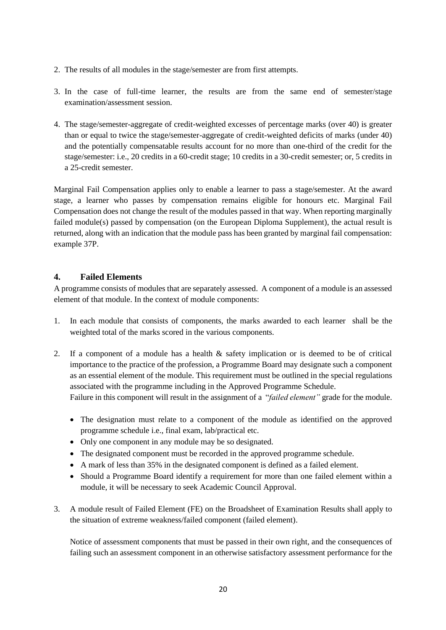- 2. The results of all modules in the stage/semester are from first attempts.
- 3. In the case of full-time learner, the results are from the same end of semester/stage examination/assessment session.
- 4. The stage/semester-aggregate of credit-weighted excesses of percentage marks (over 40) is greater than or equal to twice the stage/semester-aggregate of credit-weighted deficits of marks (under 40) and the potentially compensatable results account for no more than one-third of the credit for the stage/semester: i.e., 20 credits in a 60-credit stage; 10 credits in a 30-credit semester; or, 5 credits in a 25-credit semester.

Marginal Fail Compensation applies only to enable a learner to pass a stage/semester. At the award stage, a learner who passes by compensation remains eligible for honours etc. Marginal Fail Compensation does not change the result of the modules passed in that way. When reporting marginally failed module(s) passed by compensation (on the European Diploma Supplement), the actual result is returned, along with an indication that the module pass has been granted by marginal fail compensation: example 37P.

#### <span id="page-19-0"></span>**4. Failed Elements**

A programme consists of modules that are separately assessed. A component of a module is an assessed element of that module. In the context of module components:

- 1. In each module that consists of components, the marks awarded to each learner shall be the weighted total of the marks scored in the various components*.*
- 2. If a component of a module has a health & safety implication or is deemed to be of critical importance to the practice of the profession, a Programme Board may designate such a component as an essential element of the module. This requirement must be outlined in the special regulations associated with the programme including in the Approved Programme Schedule. Failure in this component will result in the assignment of a "*failed element"* grade for the module.
	- The designation must relate to a component of the module as identified on the approved programme schedule i.e., final exam, lab/practical etc.
	- Only one component in any module may be so designated.
	- The designated component must be recorded in the approved programme schedule.
	- A mark of less than 35% in the designated component is defined as a failed element.
	- Should a Programme Board identify a requirement for more than one failed element within a module, it will be necessary to seek Academic Council Approval.
- 3. A module result of Failed Element (FE) on the Broadsheet of Examination Results shall apply to the situation of extreme weakness/failed component (failed element).

Notice of assessment components that must be passed in their own right, and the consequences of failing such an assessment component in an otherwise satisfactory assessment performance for the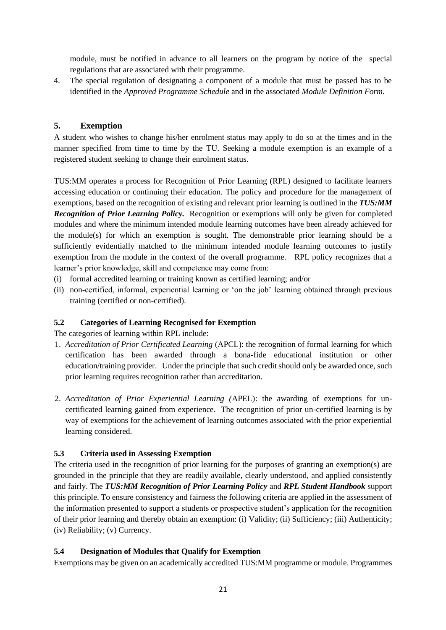module, must be notified in advance to all learners on the program by notice of the special regulations that are associated with their programme.

4. The special regulation of designating a component of a module that must be passed has to be identified in the *Approved Programme Schedule* and in the associated *Module Definition Form.* 

## <span id="page-20-0"></span>**5. Exemption**

A student who wishes to change his/her enrolment status may apply to do so at the times and in the manner specified from time to time by the TU. Seeking a module exemption is an example of a registered student seeking to change their enrolment status.

TUS:MM operates a process for Recognition of Prior Learning (RPL) designed to facilitate learners accessing education or continuing their education. The policy and procedure for the management of exemptions, based on the recognition of existing and relevant prior learning is outlined in the *TUS:MM Recognition of Prior Learning Policy.* Recognition or exemptions will only be given for completed modules and where the minimum intended module learning outcomes have been already achieved for the module(s) for which an exemption is sought. The demonstrable prior learning should be a sufficiently evidentially matched to the minimum intended module learning outcomes to justify exemption from the module in the context of the overall programme. RPL policy recognizes that a learner's prior knowledge, skill and competence may come from:

- (i) formal accredited learning or training known as certified learning; and/or
- (ii) non-certified, informal, experiential learning or 'on the job' learning obtained through previous training (certified or non-certified).

## <span id="page-20-1"></span>**5.2 Categories of Learning Recognised for Exemption**

The categories of learning within RPL include:

- 1. *Accreditation of Prior Certificated Learning* (APCL): the recognition of formal learning for which certification has been awarded through a bona-fide educational institution or other education/training provider. Under the principle that such credit should only be awarded once, such prior learning requires recognition rather than accreditation.
- 2. *Accreditation of Prior Experiential Learning (*APEL): the awarding of exemptions for uncertificated learning gained from experience. The recognition of prior un-certified learning is by way of exemptions for the achievement of learning outcomes associated with the prior experiential learning considered.

# <span id="page-20-2"></span>**5.3 Criteria used in Assessing Exemption**

The criteria used in the recognition of prior learning for the purposes of granting an exemption(s) are grounded in the principle that they are readily available, clearly understood, and applied consistently and fairly. The *TUS:MM Recognition of Prior Learning Policy* and *RPL Student Handbook* support this principle. To ensure consistency and fairness the following criteria are applied in the assessment of the information presented to support a students or prospective student's application for the recognition of their prior learning and thereby obtain an exemption: (i) Validity; (ii) Sufficiency; (iii) Authenticity; (iv) Reliability; (v) Currency.

## <span id="page-20-3"></span>**5.4 Designation of Modules that Qualify for Exemption**

Exemptions may be given on an academically accredited TUS:MM programme or module. Programmes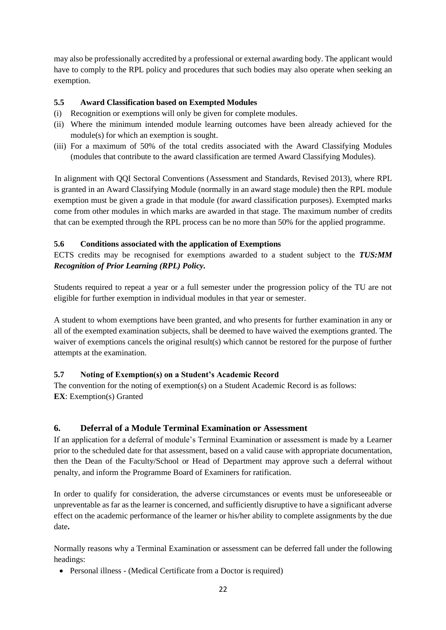may also be professionally accredited by a professional or external awarding body. The applicant would have to comply to the RPL policy and procedures that such bodies may also operate when seeking an exemption.

## <span id="page-21-0"></span>**5.5 Award Classification based on Exempted Modules**

- (i) Recognition or exemptions will only be given for complete modules.
- (ii) Where the minimum intended module learning outcomes have been already achieved for the module(s) for which an exemption is sought.
- (iii) For a maximum of 50% of the total credits associated with the Award Classifying Modules (modules that contribute to the award classification are termed Award Classifying Modules).

In alignment with QQI Sectoral Conventions (Assessment and Standards, Revised 2013), where RPL is granted in an Award Classifying Module (normally in an award stage module) then the RPL module exemption must be given a grade in that module (for award classification purposes). Exempted marks come from other modules in which marks are awarded in that stage. The maximum number of credits that can be exempted through the RPL process can be no more than 50% for the applied programme.

## <span id="page-21-1"></span>**5.6 Conditions associated with the application of Exemptions**

ECTS credits may be recognised for exemptions awarded to a student subject to the *TUS:MM Recognition of Prior Learning (RPL) Policy.* 

Students required to repeat a year or a full semester under the progression policy of the TU are not eligible for further exemption in individual modules in that year or semester.

A student to whom exemptions have been granted, and who presents for further examination in any or all of the exempted examination subjects, shall be deemed to have waived the exemptions granted. The waiver of exemptions cancels the original result(s) which cannot be restored for the purpose of further attempts at the examination.

## <span id="page-21-2"></span>**5.7 Noting of Exemption(s) on a Student's Academic Record**

The convention for the noting of exemption(s) on a Student Academic Record is as follows: **EX**: Exemption(s) Granted

# <span id="page-21-3"></span>**6. Deferral of a Module Terminal Examination or Assessment**

If an application for a deferral of module's Terminal Examination or assessment is made by a Learner prior to the scheduled date for that assessment, based on a valid cause with appropriate documentation, then the Dean of the Faculty/School or Head of Department may approve such a deferral without penalty, and inform the Programme Board of Examiners for ratification.

In order to qualify for consideration, the adverse circumstances or events must be unforeseeable or unpreventable as far as the learner is concerned, and sufficiently disruptive to have a significant adverse effect on the academic performance of the learner or his/her ability to complete assignments by the due date**.**

Normally reasons why a Terminal Examination or assessment can be deferred fall under the following headings:

• Personal illness - (Medical Certificate from a Doctor is required)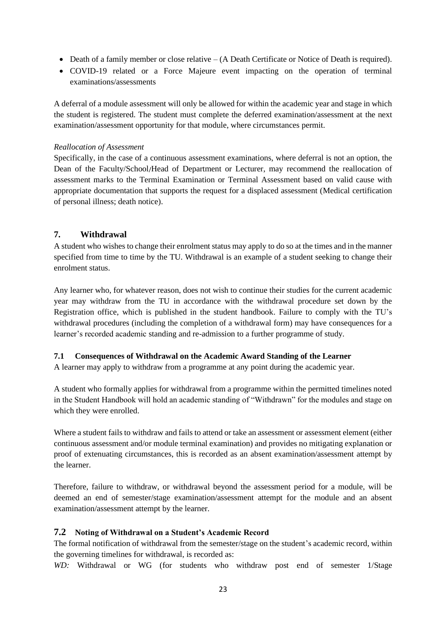- Death of a family member or close relative (A Death Certificate or Notice of Death is required).
- COVID-19 related or a Force Majeure event impacting on the operation of terminal examinations/assessments

A deferral of a module assessment will only be allowed for within the academic year and stage in which the student is registered. The student must complete the deferred examination/assessment at the next examination/assessment opportunity for that module, where circumstances permit.

#### *Reallocation of Assessment*

Specifically, in the case of a continuous assessment examinations, where deferral is not an option, the Dean of the Faculty/School/Head of Department or Lecturer, may recommend the reallocation of assessment marks to the Terminal Examination or Terminal Assessment based on valid cause with appropriate documentation that supports the request for a displaced assessment (Medical certification of personal illness; death notice).

#### <span id="page-22-0"></span>**7. Withdrawal**

A student who wishes to change their enrolment status may apply to do so at the times and in the manner specified from time to time by the TU. Withdrawal is an example of a student seeking to change their enrolment status.

Any learner who, for whatever reason, does not wish to continue their studies for the current academic year may withdraw from the TU in accordance with the withdrawal procedure set down by the Registration office, which is published in the student handbook. Failure to comply with the TU's withdrawal procedures (including the completion of a withdrawal form) may have consequences for a learner's recorded academic standing and re-admission to a further programme of study.

#### <span id="page-22-1"></span>**7.1 Consequences of Withdrawal on the Academic Award Standing of the Learner**

A learner may apply to withdraw from a programme at any point during the academic year.

A student who formally applies for withdrawal from a programme within the permitted timelines noted in the Student Handbook will hold an academic standing of "Withdrawn" for the modules and stage on which they were enrolled.

Where a student fails to withdraw and fails to attend or take an assessment or assessment element (either continuous assessment and/or module terminal examination) and provides no mitigating explanation or proof of extenuating circumstances, this is recorded as an absent examination/assessment attempt by the learner.

Therefore, failure to withdraw, or withdrawal beyond the assessment period for a module, will be deemed an end of semester/stage examination/assessment attempt for the module and an absent examination/assessment attempt by the learner.

#### <span id="page-22-2"></span>**7.2 Noting of Withdrawal on a Student's Academic Record**

The formal notification of withdrawal from the semester/stage on the student's academic record, within the governing timelines for withdrawal, is recorded as:

*WD:* Withdrawal or WG (for students who withdraw post end of semester 1/Stage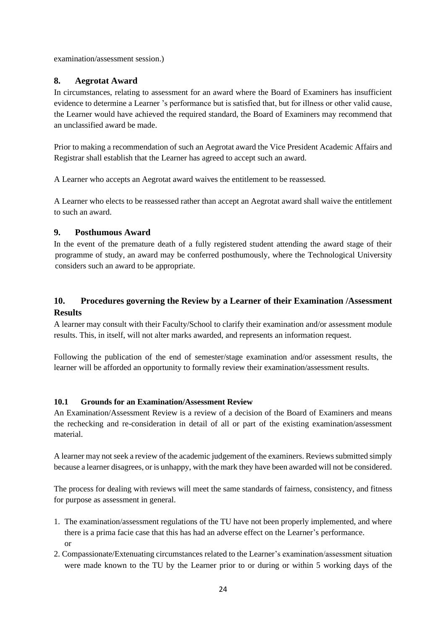examination/assessment session.)

# <span id="page-23-0"></span>**8. Aegrotat Award**

In circumstances, relating to assessment for an award where the Board of Examiners has insufficient evidence to determine a Learner 's performance but is satisfied that, but for illness or other valid cause, the Learner would have achieved the required standard, the Board of Examiners may recommend that an unclassified award be made.

Prior to making a recommendation of such an Aegrotat award the Vice President Academic Affairs and Registrar shall establish that the Learner has agreed to accept such an award.

A Learner who accepts an Aegrotat award waives the entitlement to be reassessed.

A Learner who elects to be reassessed rather than accept an Aegrotat award shall waive the entitlement to such an award.

## <span id="page-23-1"></span>**9. Posthumous Award**

In the event of the premature death of a fully registered student attending the award stage of their programme of study, an award may be conferred posthumously, where the Technological University considers such an award to be appropriate.

# <span id="page-23-2"></span>**10. Procedures governing the Review by a Learner of their Examination /Assessment Results**

A learner may consult with their Faculty/School to clarify their examination and/or assessment module results. This, in itself, will not alter marks awarded, and represents an information request.

Following the publication of the end of semester/stage examination and/or assessment results, the learner will be afforded an opportunity to formally review their examination/assessment results.

## <span id="page-23-3"></span>**10.1 Grounds for an Examination/Assessment Review**

An Examination/Assessment Review is a review of a decision of the Board of Examiners and means the rechecking and re-consideration in detail of all or part of the existing examination/assessment material.

A learner may not seek a review of the academic judgement of the examiners. Reviews submitted simply because a learner disagrees, or is unhappy, with the mark they have been awarded will not be considered.

The process for dealing with reviews will meet the same standards of fairness, consistency, and fitness for purpose as assessment in general.

- 1. The examination/assessment regulations of the TU have not been properly implemented, and where there is a prima facie case that this has had an adverse effect on the Learner's performance. or
- 2. Compassionate/Extenuating circumstances related to the Learner's examination/assessment situation were made known to the TU by the Learner prior to or during or within 5 working days of the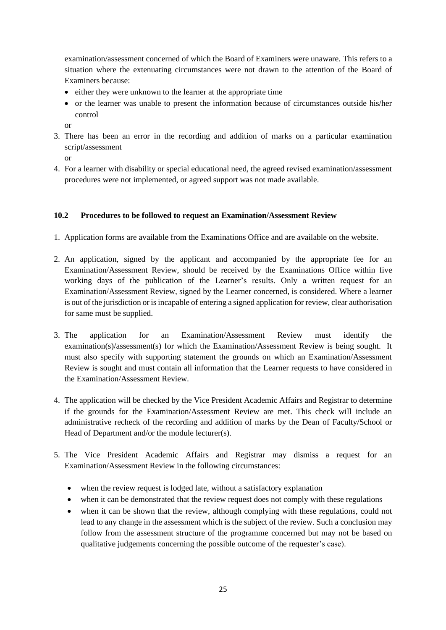examination/assessment concerned of which the Board of Examiners were unaware. This refers to a situation where the extenuating circumstances were not drawn to the attention of the Board of Examiners because:

- either they were unknown to the learner at the appropriate time
- or the learner was unable to present the information because of circumstances outside his/her control

or

3. There has been an error in the recording and addition of marks on a particular examination script/assessment

or

4. For a learner with disability or special educational need, the agreed revised examination/assessment procedures were not implemented, or agreed support was not made available.

## <span id="page-24-0"></span>**10.2 Procedures to be followed to request an Examination/Assessment Review**

- 1. Application forms are available from the Examinations Office and are available on the website.
- 2. An application, signed by the applicant and accompanied by the appropriate fee for an Examination/Assessment Review, should be received by the Examinations Office within five working days of the publication of the Learner's results. Only a written request for an Examination/Assessment Review, signed by the Learner concerned, is considered. Where a learner is out of the jurisdiction or is incapable of entering a signed application for review, clear authorisation for same must be supplied.
- 3. The application for an Examination/Assessment Review must identify the examination(s)/assessment(s) for which the Examination/Assessment Review is being sought. It must also specify with supporting statement the grounds on which an Examination/Assessment Review is sought and must contain all information that the Learner requests to have considered in the Examination/Assessment Review.
- 4. The application will be checked by the Vice President Academic Affairs and Registrar to determine if the grounds for the Examination/Assessment Review are met. This check will include an administrative recheck of the recording and addition of marks by the Dean of Faculty/School or Head of Department and/or the module lecturer(s).
- 5. The Vice President Academic Affairs and Registrar may dismiss a request for an Examination/Assessment Review in the following circumstances:
	- when the review request is lodged late, without a satisfactory explanation
	- when it can be demonstrated that the review request does not comply with these regulations
	- when it can be shown that the review, although complying with these regulations, could not lead to any change in the assessment which is the subject of the review. Such a conclusion may follow from the assessment structure of the programme concerned but may not be based on qualitative judgements concerning the possible outcome of the requester's case).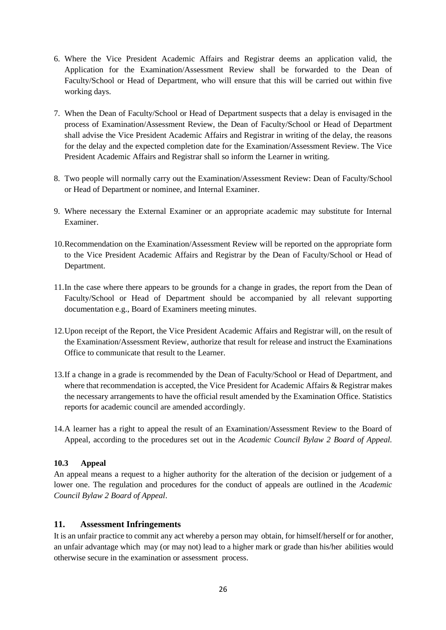- 6. Where the Vice President Academic Affairs and Registrar deems an application valid, the Application for the Examination/Assessment Review shall be forwarded to the Dean of Faculty/School or Head of Department, who will ensure that this will be carried out within five working days.
- 7. When the Dean of Faculty/School or Head of Department suspects that a delay is envisaged in the process of Examination/Assessment Review, the Dean of Faculty/School or Head of Department shall advise the Vice President Academic Affairs and Registrar in writing of the delay, the reasons for the delay and the expected completion date for the Examination/Assessment Review. The Vice President Academic Affairs and Registrar shall so inform the Learner in writing.
- 8. Two people will normally carry out the Examination/Assessment Review: Dean of Faculty/School or Head of Department or nominee, and Internal Examiner.
- 9. Where necessary the External Examiner or an appropriate academic may substitute for Internal Examiner.
- 10.Recommendation on the Examination/Assessment Review will be reported on the appropriate form to the Vice President Academic Affairs and Registrar by the Dean of Faculty/School or Head of Department.
- 11.In the case where there appears to be grounds for a change in grades, the report from the Dean of Faculty/School or Head of Department should be accompanied by all relevant supporting documentation e.g., Board of Examiners meeting minutes.
- 12.Upon receipt of the Report, the Vice President Academic Affairs and Registrar will, on the result of the Examination/Assessment Review, authorize that result for release and instruct the Examinations Office to communicate that result to the Learner.
- 13.If a change in a grade is recommended by the Dean of Faculty/School or Head of Department, and where that recommendation is accepted, the Vice President for Academic Affairs & Registrar makes the necessary arrangements to have the official result amended by the Examination Office. Statistics reports for academic council are amended accordingly.
- 14.A learner has a right to appeal the result of an Examination/Assessment Review to the Board of Appeal, according to the procedures set out in the *Academic Council Bylaw 2 Board of Appeal.*

## <span id="page-25-0"></span>**10.3 Appeal**

An appeal means a request to a higher authority for the alteration of the decision or judgement of a lower one. The regulation and procedures for the conduct of appeals are outlined in the *Academic Council Bylaw 2 Board of Appeal*.

#### <span id="page-25-1"></span>**11. Assessment Infringements**

It is an unfair practice to commit any act whereby a person may obtain, for himself/herself or for another, an unfair advantage which may (or may not) lead to a higher mark or grade than his/her abilities would otherwise secure in the examination or assessment process.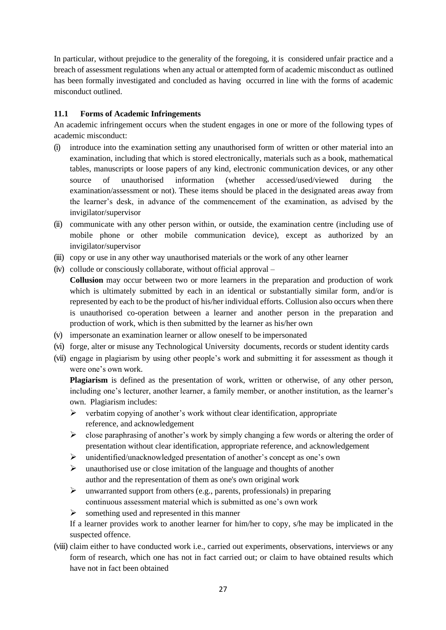In particular, without prejudice to the generality of the foregoing, it is considered unfair practice and a breach of assessment regulations when any actual or attempted form of academic misconduct as outlined has been formally investigated and concluded as having occurred in line with the forms of academic misconduct outlined.

## <span id="page-26-0"></span>**11.1 Forms of Academic Infringements**

An academic infringement occurs when the student engages in one or more of the following types of academic misconduct:

- (i) introduce into the examination setting any unauthorised form of written or other material into an examination, including that which is stored electronically, materials such as a book, mathematical tables, manuscripts or loose papers of any kind, electronic communication devices, or any other source of unauthorised information (whether accessed/used/viewed during the examination/assessment or not). These items should be placed in the designated areas away from the learner's desk, in advance of the commencement of the examination, as advised by the invigilator/supervisor
- (ii) communicate with any other person within, or outside, the examination centre (including use of mobile phone or other mobile communication device), except as authorized by an invigilator/supervisor
- (iii) copy or use in any other way unauthorised materials or the work of any other learner
- $(iv)$  collude or consciously collaborate, without official approval –
- **Collusion** may occur between two or more learners in the preparation and production of work which is ultimately submitted by each in an identical or substantially similar form, and/or is represented by each to be the product of his/her individual efforts. Collusion also occurs when there is unauthorised co-operation between a learner and another person in the preparation and production of work, which is then submitted by the learner as his/her own
- (v) impersonate an examination learner or allow oneself to be impersonated
- (vi) forge, alter or misuse any Technological University documents, records or student identity cards
- (vii) engage in plagiarism by using other people's work and submitting it for assessment as though it were one's own work.

**Plagiarism** is defined as the presentation of work, written or otherwise, of any other person, including one's lecturer, another learner, a family member, or another institution, as the learner's own. Plagiarism includes:

- ➢ verbatim copying of another's work without clear identification, appropriate reference, and acknowledgement
- $\triangleright$  close paraphrasing of another's work by simply changing a few words or altering the order of presentation without clear identification, appropriate reference, and acknowledgement
- ➢ unidentified/unacknowledged presentation of another's concept as one's own
- $\triangleright$  unauthorised use or close imitation of the language and thoughts of another author and the representation of them as one's own original work
- $\triangleright$  unwarranted support from others (e.g., parents, professionals) in preparing continuous assessment material which is submitted as one's own work
- ➢ something used and represented in this manner

If a learner provides work to another learner for him/her to copy, s/he may be implicated in the suspected offence.

(viii) claim either to have conducted work i.e., carried out experiments, observations, interviews or any form of research, which one has not in fact carried out; or claim to have obtained results which have not in fact been obtained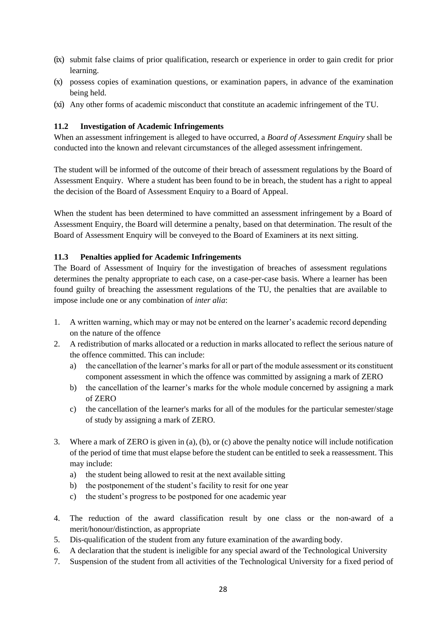- (ix) submit false claims of prior qualification, research or experience in order to gain credit for prior learning.
- (x) possess copies of examination questions, or examination papers, in advance of the examination being held.
- (xi) Any other forms of academic misconduct that constitute an academic infringement of the TU.

## <span id="page-27-0"></span>**11.2 Investigation of Academic Infringements**

When an assessment infringement is alleged to have occurred, a *Board of Assessment Enquiry* shall be conducted into the known and relevant circumstances of the alleged assessment infringement.

The student will be informed of the outcome of their breach of assessment regulations by the Board of Assessment Enquiry. Where a student has been found to be in breach, the student has a right to appeal the decision of the Board of Assessment Enquiry to a Board of Appeal.

When the student has been determined to have committed an assessment infringement by a Board of Assessment Enquiry, the Board will determine a penalty, based on that determination. The result of the Board of Assessment Enquiry will be conveyed to the Board of Examiners at its next sitting.

#### <span id="page-27-1"></span>**11.3 Penalties applied for Academic Infringements**

The Board of Assessment of Inquiry for the investigation of breaches of assessment regulations determines the penalty appropriate to each case, on a case-per-case basis. Where a learner has been found guilty of breaching the assessment regulations of the TU, the penalties that are available to impose include one or any combination of *inter alia*:

- 1. A written warning, which may or may not be entered on the learner's academic record depending on the nature of the offence
- 2. A redistribution of marks allocated or a reduction in marks allocated to reflect the serious nature of the offence committed. This can include:
	- a) the cancellation of the learner's marks for all or part of the module assessment or its constituent component assessment in which the offence was committed by assigning a mark of ZERO
	- b) the cancellation of the learner's marks for the whole module concerned by assigning a mark of ZERO
	- c) the cancellation of the learner's marks for all of the modules for the particular semester/stage of study by assigning a mark of ZERO.
- 3. Where a mark of ZERO is given in (a), (b), or (c) above the penalty notice will include notification of the period of time that must elapse before the student can be entitled to seek a reassessment. This may include:
	- a) the student being allowed to resit at the next available sitting
	- b) the postponement of the student's facility to resit for one year
	- c) the student's progress to be postponed for one academic year
- 4. The reduction of the award classification result by one class or the non-award of a merit/honour/distinction, as appropriate
- 5. Dis-qualification of the student from any future examination of the awarding body.
- 6. A declaration that the student is ineligible for any special award of the Technological University
- 7. Suspension of the student from all activities of the Technological University for a fixed period of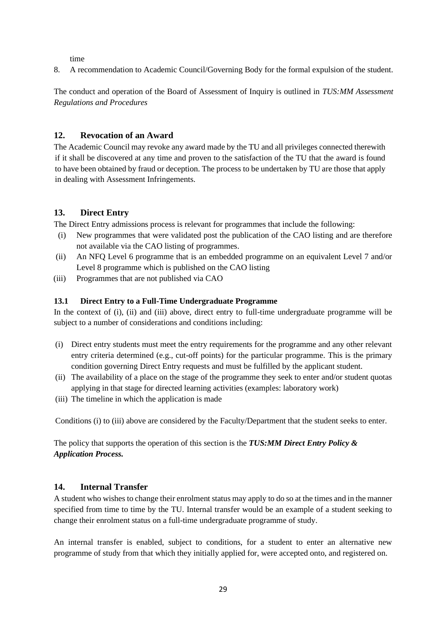time

8. A recommendation to Academic Council/Governing Body for the formal expulsion of the student.

The conduct and operation of the Board of Assessment of Inquiry is outlined in *TUS:MM Assessment Regulations and Procedures*

## <span id="page-28-0"></span>**12. Revocation of an Award**

The Academic Council may revoke any award made by the TU and all privileges connected therewith if it shall be discovered at any time and proven to the satisfaction of the TU that the award is found to have been obtained by fraud or deception. The process to be undertaken by TU are those that apply in dealing with Assessment Infringements.

# <span id="page-28-1"></span>**13. Direct Entry**

The Direct Entry admissions process is relevant for programmes that include the following:

- (i) New programmes that were validated post the publication of the CAO listing and are therefore not available via the CAO listing of programmes.
- (ii) An NFQ Level 6 programme that is an embedded programme on an equivalent Level 7 and/or Level 8 programme which is published on the CAO listing
- (iii) Programmes that are not published via CAO

#### <span id="page-28-2"></span>**13.1 Direct Entry to a Full-Time Undergraduate Programme**

In the context of (i), (ii) and (iii) above, direct entry to full-time undergraduate programme will be subject to a number of considerations and conditions including:

- (i) Direct entry students must meet the entry requirements for the programme and any other relevant entry criteria determined (e.g., cut-off points) for the particular programme. This is the primary condition governing Direct Entry requests and must be fulfilled by the applicant student.
- (ii) The availability of a place on the stage of the programme they seek to enter and/or student quotas applying in that stage for directed learning activities (examples: laboratory work)
- (iii) The timeline in which the application is made

Conditions (i) to (iii) above are considered by the Faculty/Department that the student seeks to enter.

The policy that supports the operation of this section is the *TUS:MM Direct Entry Policy & Application Process.*

## <span id="page-28-3"></span>**14. Internal Transfer**

A student who wishes to change their enrolment status may apply to do so at the times and in the manner specified from time to time by the TU. Internal transfer would be an example of a student seeking to change their enrolment status on a full-time undergraduate programme of study.

An internal transfer is enabled, subject to conditions, for a student to enter an alternative new programme of study from that which they initially applied for, were accepted onto, and registered on.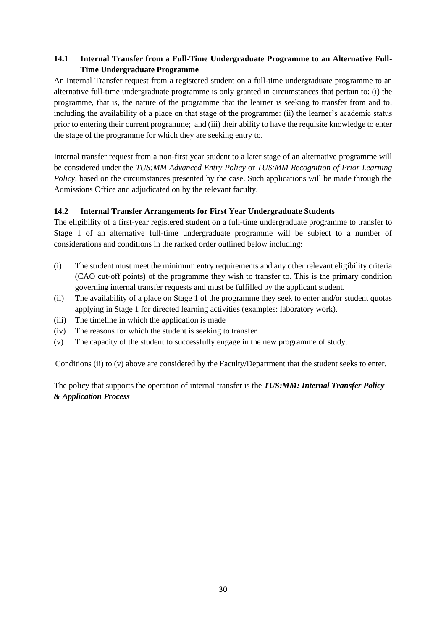# <span id="page-29-0"></span>**14.1 Internal Transfer from a Full-Time Undergraduate Programme to an Alternative Full-Time Undergraduate Programme**

An Internal Transfer request from a registered student on a full-time undergraduate programme to an alternative full-time undergraduate programme is only granted in circumstances that pertain to: (i) the programme, that is, the nature of the programme that the learner is seeking to transfer from and to, including the availability of a place on that stage of the programme: (ii) the learner's academic status prior to entering their current programme; and (iii) their ability to have the requisite knowledge to enter the stage of the programme for which they are seeking entry to.

Internal transfer request from a non-first year student to a later stage of an alternative programme will be considered under the *TUS:MM Advanced Entry Policy* or *TUS:MM Recognition of Prior Learning Policy*, based on the circumstances presented by the case. Such applications will be made through the Admissions Office and adjudicated on by the relevant faculty.

## <span id="page-29-1"></span>**14.2 Internal Transfer Arrangements for First Year Undergraduate Students**

The eligibility of a first-year registered student on a full-time undergraduate programme to transfer to Stage 1 of an alternative full-time undergraduate programme will be subject to a number of considerations and conditions in the ranked order outlined below including:

- (i) The student must meet the minimum entry requirements and any other relevant eligibility criteria (CAO cut-off points) of the programme they wish to transfer to. This is the primary condition governing internal transfer requests and must be fulfilled by the applicant student.
- (ii) The availability of a place on Stage 1 of the programme they seek to enter and/or student quotas applying in Stage 1 for directed learning activities (examples: laboratory work).
- (iii) The timeline in which the application is made
- (iv) The reasons for which the student is seeking to transfer
- (v) The capacity of the student to successfully engage in the new programme of study.

Conditions (ii) to (v) above are considered by the Faculty/Department that the student seeks to enter.

The policy that supports the operation of internal transfer is the *TUS:MM: Internal Transfer Policy & Application Process*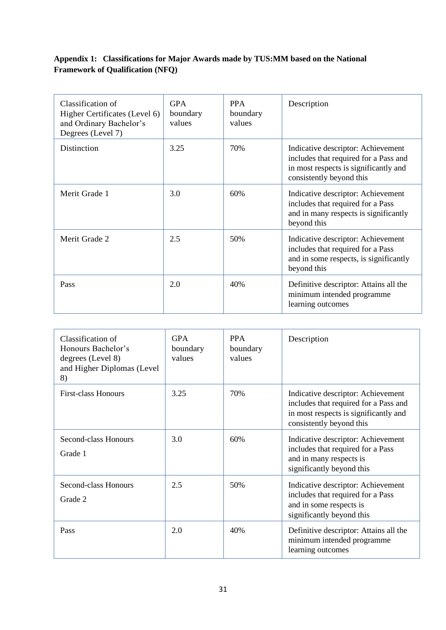# <span id="page-30-0"></span>**Appendix 1: Classifications for Major Awards made by TUS:MM based on the National Framework of Qualification (NFQ)**

| Classification of<br>Higher Certificates (Level 6)<br>and Ordinary Bachelor's<br>Degrees (Level 7) | <b>GPA</b><br>boundary<br>values | <b>PPA</b><br>boundary<br>values | Description                                                                                                                                      |
|----------------------------------------------------------------------------------------------------|----------------------------------|----------------------------------|--------------------------------------------------------------------------------------------------------------------------------------------------|
| Distinction                                                                                        | 3.25                             | 70%                              | Indicative descriptor: Achievement<br>includes that required for a Pass and<br>in most respects is significantly and<br>consistently beyond this |
| Merit Grade 1                                                                                      | 3.0                              | 60%                              | Indicative descriptor: Achievement<br>includes that required for a Pass<br>and in many respects is significantly<br>beyond this                  |
| Merit Grade 2                                                                                      | 2.5                              | 50%                              | Indicative descriptor: Achievement<br>includes that required for a Pass<br>and in some respects, is significantly<br>beyond this                 |
| Pass                                                                                               | 2.0                              | 40%                              | Definitive descriptor: Attains all the<br>minimum intended programme<br>learning outcomes                                                        |

| Classification of<br>Honours Bachelor's<br>degrees (Level 8)<br>and Higher Diplomas (Level<br>8) | <b>GPA</b><br>boundary<br>values | <b>PPA</b><br>boundary<br>values | Description                                                                                                                                      |
|--------------------------------------------------------------------------------------------------|----------------------------------|----------------------------------|--------------------------------------------------------------------------------------------------------------------------------------------------|
| <b>First-class Honours</b>                                                                       | 3.25                             | 70%                              | Indicative descriptor: Achievement<br>includes that required for a Pass and<br>in most respects is significantly and<br>consistently beyond this |
| Second-class Honours<br>Grade 1                                                                  | 3.0                              | 60%                              | Indicative descriptor: Achievement<br>includes that required for a Pass<br>and in many respects is<br>significantly beyond this                  |
| Second-class Honours<br>Grade 2                                                                  | 2.5                              | 50%                              | Indicative descriptor: Achievement<br>includes that required for a Pass<br>and in some respects is<br>significantly beyond this                  |
| Pass                                                                                             | 2.0                              | 40%                              | Definitive descriptor: Attains all the<br>minimum intended programme<br>learning outcomes                                                        |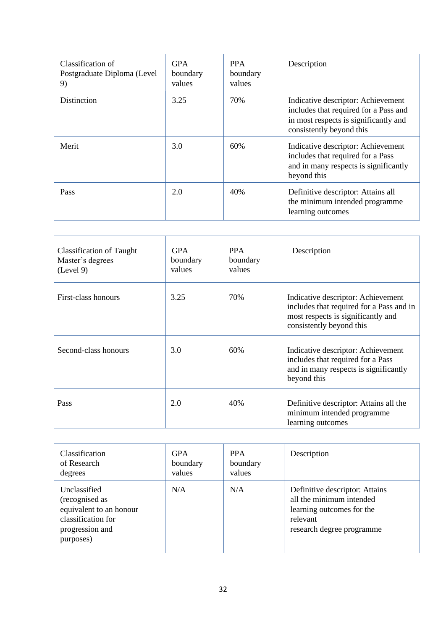| Classification of<br>Postgraduate Diploma (Level<br>9) | <b>GPA</b><br>boundary<br>values | <b>PPA</b><br>boundary<br>values | Description                                                                                                                                      |
|--------------------------------------------------------|----------------------------------|----------------------------------|--------------------------------------------------------------------------------------------------------------------------------------------------|
| Distinction                                            | 3.25                             | 70%                              | Indicative descriptor: Achievement<br>includes that required for a Pass and<br>in most respects is significantly and<br>consistently beyond this |
| Merit                                                  | 3.0                              | 60%                              | Indicative descriptor: Achievement<br>includes that required for a Pass<br>and in many respects is significantly<br>beyond this                  |
| <b>Pass</b>                                            | 2.0                              | 40%                              | Definitive descriptor: Attains all<br>the minimum intended programme<br>learning outcomes                                                        |

| Classification of Taught<br>Master's degrees<br>(Level 9) | <b>GPA</b><br>boundary<br>values | <b>PPA</b><br>boundary<br>values | Description                                                                                                                                      |
|-----------------------------------------------------------|----------------------------------|----------------------------------|--------------------------------------------------------------------------------------------------------------------------------------------------|
| First-class honours                                       | 3.25                             | 70%                              | Indicative descriptor: Achievement<br>includes that required for a Pass and in<br>most respects is significantly and<br>consistently beyond this |
| Second-class honours                                      | 3.0                              | 60%                              | Indicative descriptor: Achievement<br>includes that required for a Pass<br>and in many respects is significantly<br>beyond this                  |
| Pass                                                      | 2.0                              | 40%                              | Definitive descriptor: Attains all the<br>minimum intended programme<br>learning outcomes                                                        |

| <b>Classification</b>                                                                                           | <b>GPA</b> | <b>PPA</b> | Description                                                                                                                      |
|-----------------------------------------------------------------------------------------------------------------|------------|------------|----------------------------------------------------------------------------------------------------------------------------------|
| of Research                                                                                                     | boundary   | boundary   |                                                                                                                                  |
| degrees                                                                                                         | values     | values     |                                                                                                                                  |
| Unclassified<br>(recognised as<br>equivalent to an honour<br>classification for<br>progression and<br>purposes) | N/A        | N/A        | Definitive descriptor: Attains<br>all the minimum intended<br>learning outcomes for the<br>relevant<br>research degree programme |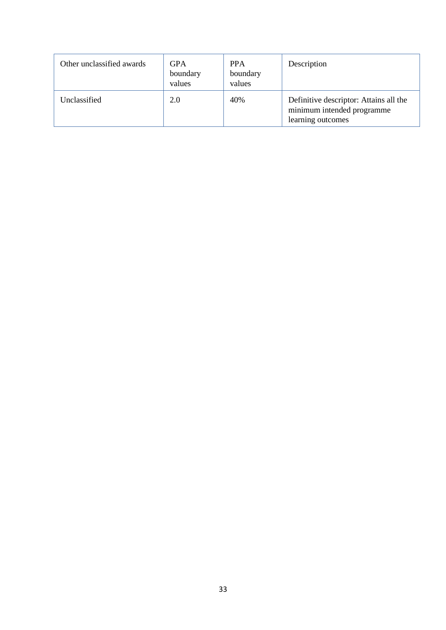| Other unclassified awards | <b>GPA</b><br>boundary<br>values | <b>PPA</b><br>boundary<br>values | Description                                                                               |
|---------------------------|----------------------------------|----------------------------------|-------------------------------------------------------------------------------------------|
| Unclassified              | 2.0                              | 40%                              | Definitive descriptor: Attains all the<br>minimum intended programme<br>learning outcomes |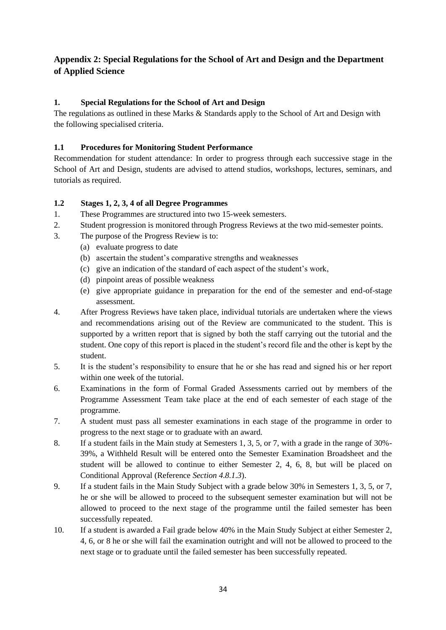# <span id="page-33-0"></span>**Appendix 2: Special Regulations for the School of Art and Design and the Department of Applied Science**

## <span id="page-33-1"></span>**1. Special Regulations for the School of Art and Design**

The regulations as outlined in these Marks & Standards apply to the School of Art and Design with the following specialised criteria.

## <span id="page-33-2"></span>**1.1 Procedures for Monitoring Student Performance**

Recommendation for student attendance: In order to progress through each successive stage in the School of Art and Design, students are advised to attend studios, workshops, lectures, seminars, and tutorials as required.

## <span id="page-33-3"></span>**1.2 Stages 1, 2, 3, 4 of all Degree Programmes**

- 1. These Programmes are structured into two 15-week semesters.
- 2. Student progression is monitored through Progress Reviews at the two mid-semester points.
- 3. The purpose of the Progress Review is to:
	- (a) evaluate progress to date
	- (b) ascertain the student's comparative strengths and weaknesses
	- (c) give an indication of the standard of each aspect of the student's work,
	- (d) pinpoint areas of possible weakness
	- (e) give appropriate guidance in preparation for the end of the semester and end-of-stage assessment.
- 4. After Progress Reviews have taken place, individual tutorials are undertaken where the views and recommendations arising out of the Review are communicated to the student. This is supported by a written report that is signed by both the staff carrying out the tutorial and the student. One copy of this report is placed in the student's record file and the other is kept by the student.
- 5. It is the student's responsibility to ensure that he or she has read and signed his or her report within one week of the tutorial.
- 6. Examinations in the form of Formal Graded Assessments carried out by members of the Programme Assessment Team take place at the end of each semester of each stage of the programme.
- 7. A student must pass all semester examinations in each stage of the programme in order to progress to the next stage or to graduate with an award.
- 8. If a student fails in the Main study at Semesters 1, 3, 5, or 7, with a grade in the range of 30%- 39%, a Withheld Result will be entered onto the Semester Examination Broadsheet and the student will be allowed to continue to either Semester 2, 4, 6, 8, but will be placed on Conditional Approval (Reference *Section 4.8.1.3*).
- 9. If a student fails in the Main Study Subject with a grade below 30% in Semesters 1, 3, 5, or 7, he or she will be allowed to proceed to the subsequent semester examination but will not be allowed to proceed to the next stage of the programme until the failed semester has been successfully repeated.
- 10. If a student is awarded a Fail grade below 40% in the Main Study Subject at either Semester 2, 4, 6, or 8 he or she will fail the examination outright and will not be allowed to proceed to the next stage or to graduate until the failed semester has been successfully repeated.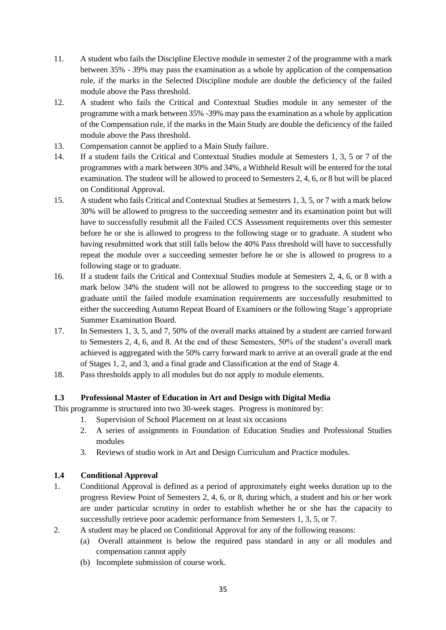- 11. A student who fails the Discipline Elective module in semester 2 of the programme with a mark between 35% - 39% may pass the examination as a whole by application of the compensation rule, if the marks in the Selected Discipline module are double the deficiency of the failed module above the Pass threshold.
- 12. A student who fails the Critical and Contextual Studies module in any semester of the programme with a mark between 35% -39% may pass the examination as a whole by application of the Compensation rule, if the marks in the Main Study are double the deficiency of the failed module above the Pass threshold.
- 13. Compensation cannot be applied to a Main Study failure.
- 14. If a student fails the Critical and Contextual Studies module at Semesters 1, 3, 5 or 7 of the programmes with a mark between 30% and 34%, a Withheld Result will be entered for the total examination. The student will be allowed to proceed to Semesters 2, 4, 6, or 8 but will be placed on Conditional Approval.
- 15. A student who fails Critical and Contextual Studies at Semesters 1, 3, 5, or 7 with a mark below 30% will be allowed to progress to the succeeding semester and its examination point but will have to successfully resubmit all the Failed CCS Assessment requirements over this semester before he or she is allowed to progress to the following stage or to graduate. A student who having resubmitted work that still falls below the 40% Pass threshold will have to successfully repeat the module over a succeeding semester before he or she is allowed to progress to a following stage or to graduate.
- 16. If a student fails the Critical and Contextual Studies module at Semesters 2, 4, 6, or 8 with a mark below 34% the student will not be allowed to progress to the succeeding stage or to graduate until the failed module examination requirements are successfully resubmitted to either the succeeding Autumn Repeat Board of Examiners or the following Stage's appropriate Summer Examination Board.
- 17. In Semesters 1, 3, 5, and 7, 50% of the overall marks attained by a student are carried forward to Semesters 2, 4, 6, and 8. At the end of these Semesters, 50% of the student's overall mark achieved is aggregated with the 50% carry forward mark to arrive at an overall grade at the end of Stages 1, 2, and 3, and a final grade and Classification at the end of Stage 4.
- 18. Pass thresholds apply to all modules but do not apply to module elements.

## <span id="page-34-0"></span>**1.3 Professional Master of Education in Art and Design with Digital Media**

This programme is structured into two 30-week stages. Progress is monitored by:

- 1. Supervision of School Placement on at least six occasions
- 2. A series of assignments in Foundation of Education Studies and Professional Studies modules
- 3. Reviews of studio work in Art and Design Curriculum and Practice modules.

## <span id="page-34-1"></span>**1.4 Conditional Approval**

- 1. Conditional Approval is defined as a period of approximately eight weeks duration up to the progress Review Point of Semesters 2, 4, 6, or 8, during which, a student and his or her work are under particular scrutiny in order to establish whether he or she has the capacity to successfully retrieve poor academic performance from Semesters 1, 3, 5, or 7.
- 2. A student may be placed on Conditional Approval for any of the following reasons:
	- (a) Overall attainment is below the required pass standard in any or all modules and compensation cannot apply
	- (b) Incomplete submission of course work.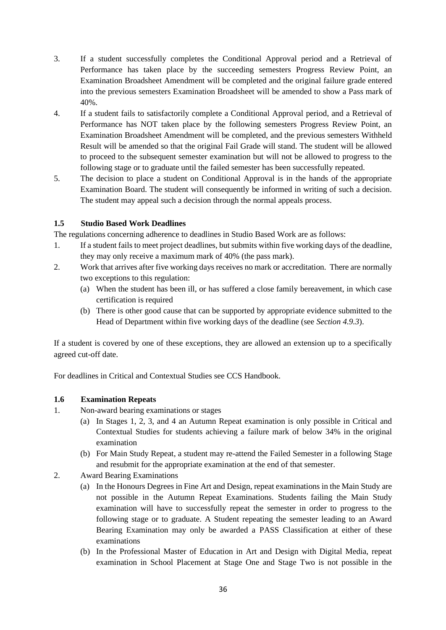- 3. If a student successfully completes the Conditional Approval period and a Retrieval of Performance has taken place by the succeeding semesters Progress Review Point, an Examination Broadsheet Amendment will be completed and the original failure grade entered into the previous semesters Examination Broadsheet will be amended to show a Pass mark of 40%.
- 4. If a student fails to satisfactorily complete a Conditional Approval period, and a Retrieval of Performance has NOT taken place by the following semesters Progress Review Point, an Examination Broadsheet Amendment will be completed, and the previous semesters Withheld Result will be amended so that the original Fail Grade will stand. The student will be allowed to proceed to the subsequent semester examination but will not be allowed to progress to the following stage or to graduate until the failed semester has been successfully repeated.
- 5. The decision to place a student on Conditional Approval is in the hands of the appropriate Examination Board. The student will consequently be informed in writing of such a decision. The student may appeal such a decision through the normal appeals process.

## <span id="page-35-0"></span>**1.5 Studio Based Work Deadlines**

The regulations concerning adherence to deadlines in Studio Based Work are as follows:

- 1. If a student fails to meet project deadlines, but submits within five working days of the deadline, they may only receive a maximum mark of 40% (the pass mark).
- 2. Work that arrives after five working days receives no mark or accreditation. There are normally two exceptions to this regulation:
	- (a) When the student has been ill, or has suffered a close family bereavement, in which case certification is required
	- (b) There is other good cause that can be supported by appropriate evidence submitted to the Head of Department within five working days of the deadline (see *Section 4.9.3*).

If a student is covered by one of these exceptions, they are allowed an extension up to a specifically agreed cut-off date.

For deadlines in Critical and Contextual Studies see CCS Handbook.

## <span id="page-35-1"></span>**1.6 Examination Repeats**

- 1. Non-award bearing examinations or stages
	- (a) In Stages 1, 2, 3, and 4 an Autumn Repeat examination is only possible in Critical and Contextual Studies for students achieving a failure mark of below 34% in the original examination
	- (b) For Main Study Repeat, a student may re-attend the Failed Semester in a following Stage and resubmit for the appropriate examination at the end of that semester.
- 2. Award Bearing Examinations
	- (a) In the Honours Degrees in Fine Art and Design, repeat examinations in the Main Study are not possible in the Autumn Repeat Examinations. Students failing the Main Study examination will have to successfully repeat the semester in order to progress to the following stage or to graduate. A Student repeating the semester leading to an Award Bearing Examination may only be awarded a PASS Classification at either of these examinations
	- (b) In the Professional Master of Education in Art and Design with Digital Media, repeat examination in School Placement at Stage One and Stage Two is not possible in the